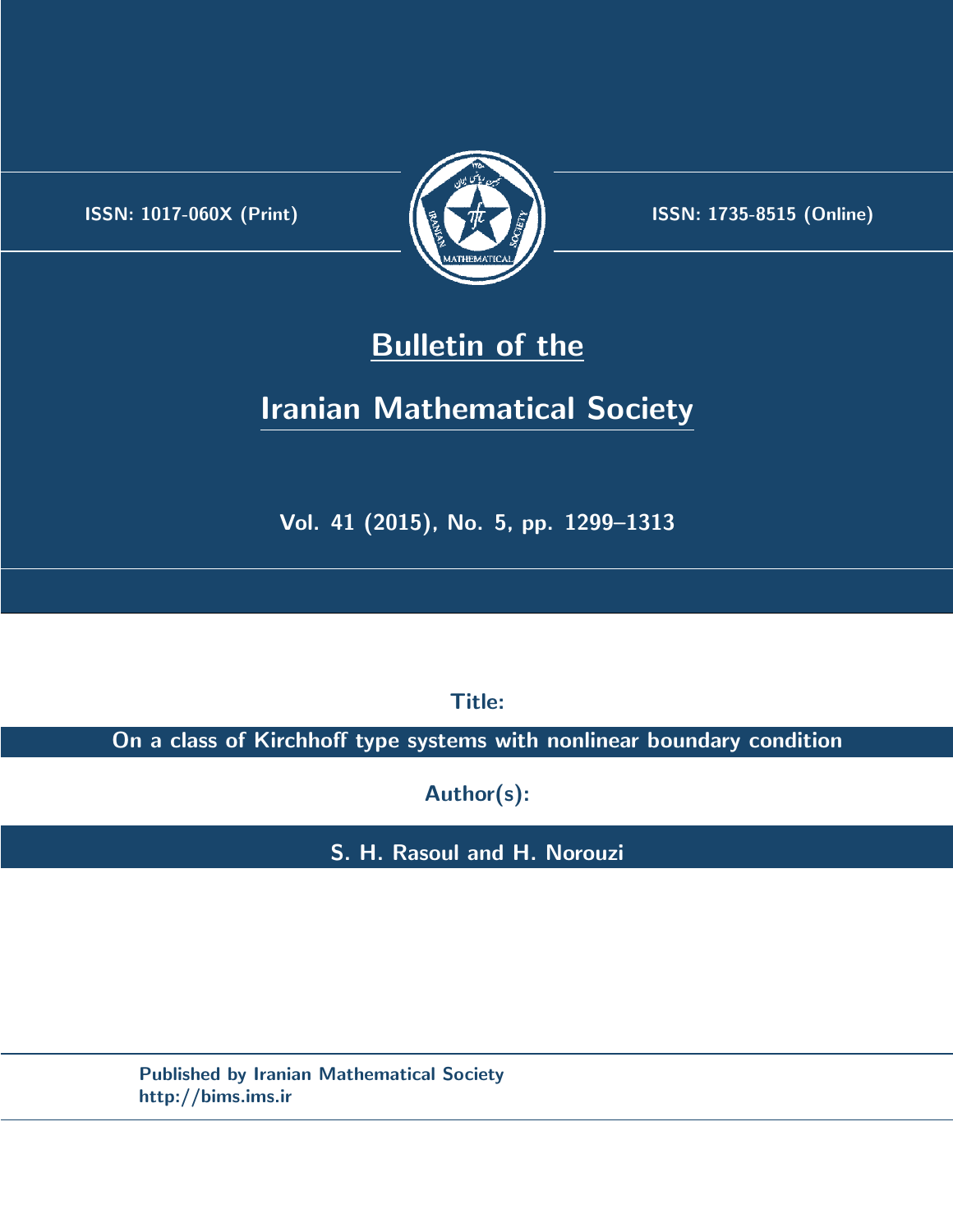.



**ISSN:** 1017-060X (Print)  $\left(\frac{1}{2}\right)$   $\frac{1}{2}$   $\frac{1}{2}$   $\frac{1}{2}$  **ISSN:** 1735-8515 (Online)

# **Bulletin of the**

# **Iranian Mathematical Society**

**Vol. 41 (2015), No. 5, pp. 1299–1313**

**Title:**

**On a class of Kirchhoff type systems with nonlinear boundary condition**

**Author(s):**

**S. H. Rasoul and H. Norouzi**

**Published by Iranian Mathematical Society http://bims.ims.ir**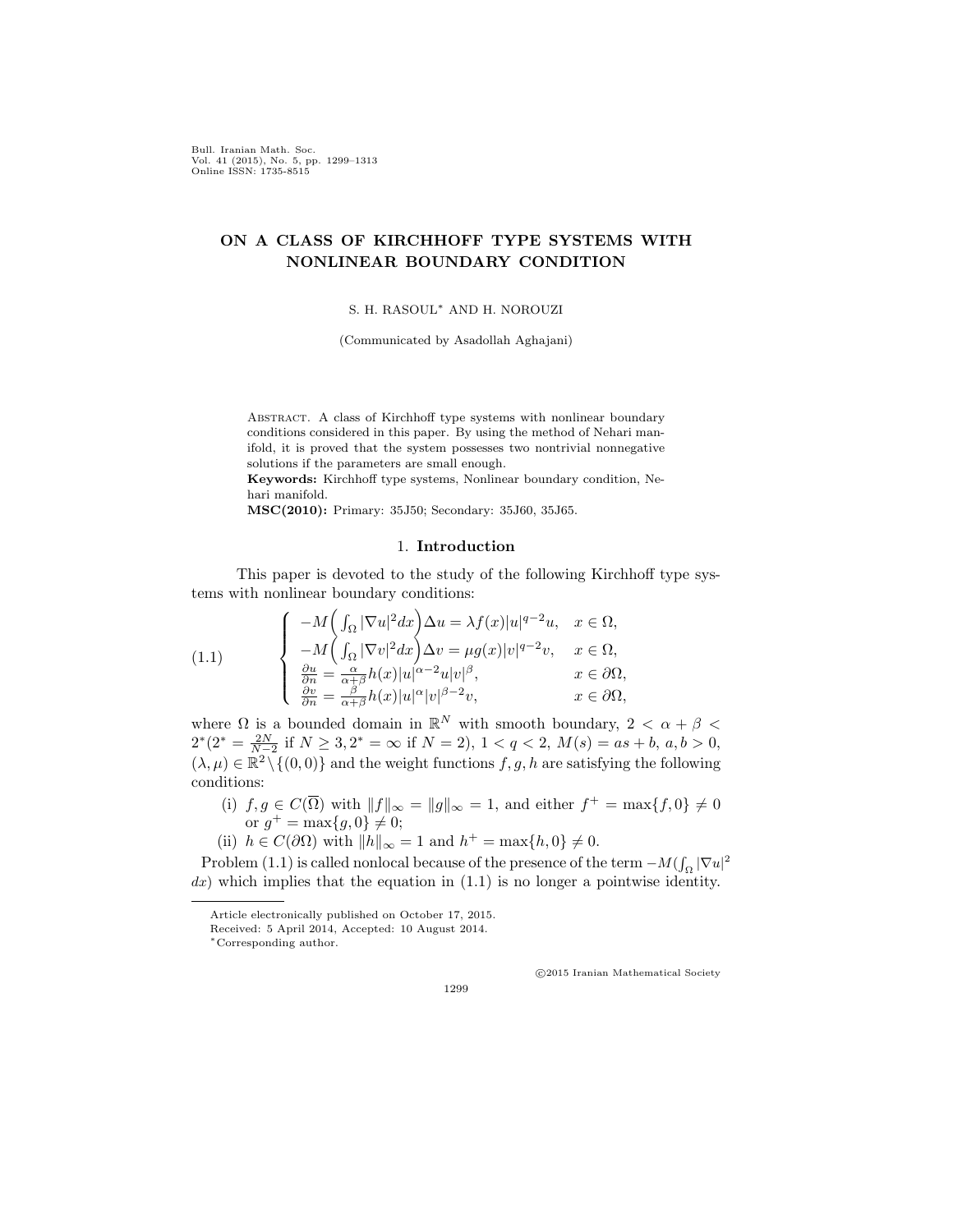Bull. Iranian Math. Soc. Vol. 41 (2015), No. 5, pp. 1299–1313 Online ISSN: 1735-8515

# **ON A CLASS OF KIRCHHOFF TYPE SYSTEMS WITH NONLINEAR BOUNDARY CONDITION**

S. H. RASOUL*∗* AND H. NOROUZI

(Communicated by Asadollah Aghajani)

ABSTRACT. A class of Kirchhoff type systems with nonlinear boundary conditions considered in this paper. By using the method of Nehari manifold, it is proved that the system possesses two nontrivial nonnegative solutions if the parameters are small enough. **Keywords:** Kirchhoff type systems, Nonlinear boundary condition, Ne-

hari manifold.

**MSC(2010):** Primary: 35J50; Secondary: 35J60, 35J65.

### 1. **Introduction**

This paper is devoted to the study of the following Kirchhoff type systems with nonlinear boundary conditions:

<span id="page-1-0"></span>(1.1) 
$$
\begin{cases}\n-M\left(\int_{\Omega} |\nabla u|^2 dx\right) \Delta u = \lambda f(x)|u|^{q-2}u, & x \in \Omega, \\
-M\left(\int_{\Omega} |\nabla v|^2 dx\right) \Delta v = \mu g(x)|v|^{q-2}v, & x \in \Omega, \\
\frac{\partial u}{\partial n} = \frac{\alpha}{\alpha+\beta} h(x)|u|^{\alpha-2}u|v|^{\beta}, & x \in \partial\Omega, \\
\frac{\partial v}{\partial n} = \frac{\beta}{\alpha+\beta} h(x)|u|^{\alpha}|v|^{\beta-2}v, & x \in \partial\Omega,\n\end{cases}
$$

where  $\Omega$  is a bounded domain in  $\mathbb{R}^N$  with smooth boundary,  $2 < \alpha + \beta <$  $2^{*}(2^{*} = \frac{2N}{N-2}$  if  $N \ge 3, 2^{*} = \infty$  if  $N = 2$ ,  $1 < q < 2, M(s) = as + b, a, b > 0$ ,  $(\lambda, \mu) \in \mathbb{R}^2 \setminus \{(0, 0)\}\$ and the weight functions  $f, g, h$  are satisfying the following conditions:

- (i)  $f, g \in C(\overline{\Omega})$  with  $||f||_{\infty} = ||g||_{\infty} = 1$ , and either  $f^{+} = \max\{f, 0\} \neq 0$ or  $g^+ = \max\{g, 0\} \neq 0;$
- (ii) *h* ∈ *C*( $\partial$ Ω) with  $||h||_{\infty} = 1$  and  $h$ <sup>+</sup> = max{*h,* 0} ≠ 0.

Problem [\(1.1\)](#page-1-0) is called nonlocal because of the presence of the term  $-M(\int_{\Omega} |\nabla u|^2)$ *dx*) which implies that the equation in ([1.1](#page-1-0)) is no longer a pointwise identity.

*⃝*c 2015 Iranian Mathematical Society

Article electronically published on October 17, 2015.

Received: 5 April 2014, Accepted: 10 August 2014.

*<sup>∗</sup>*Corresponding author.

<sup>1299</sup>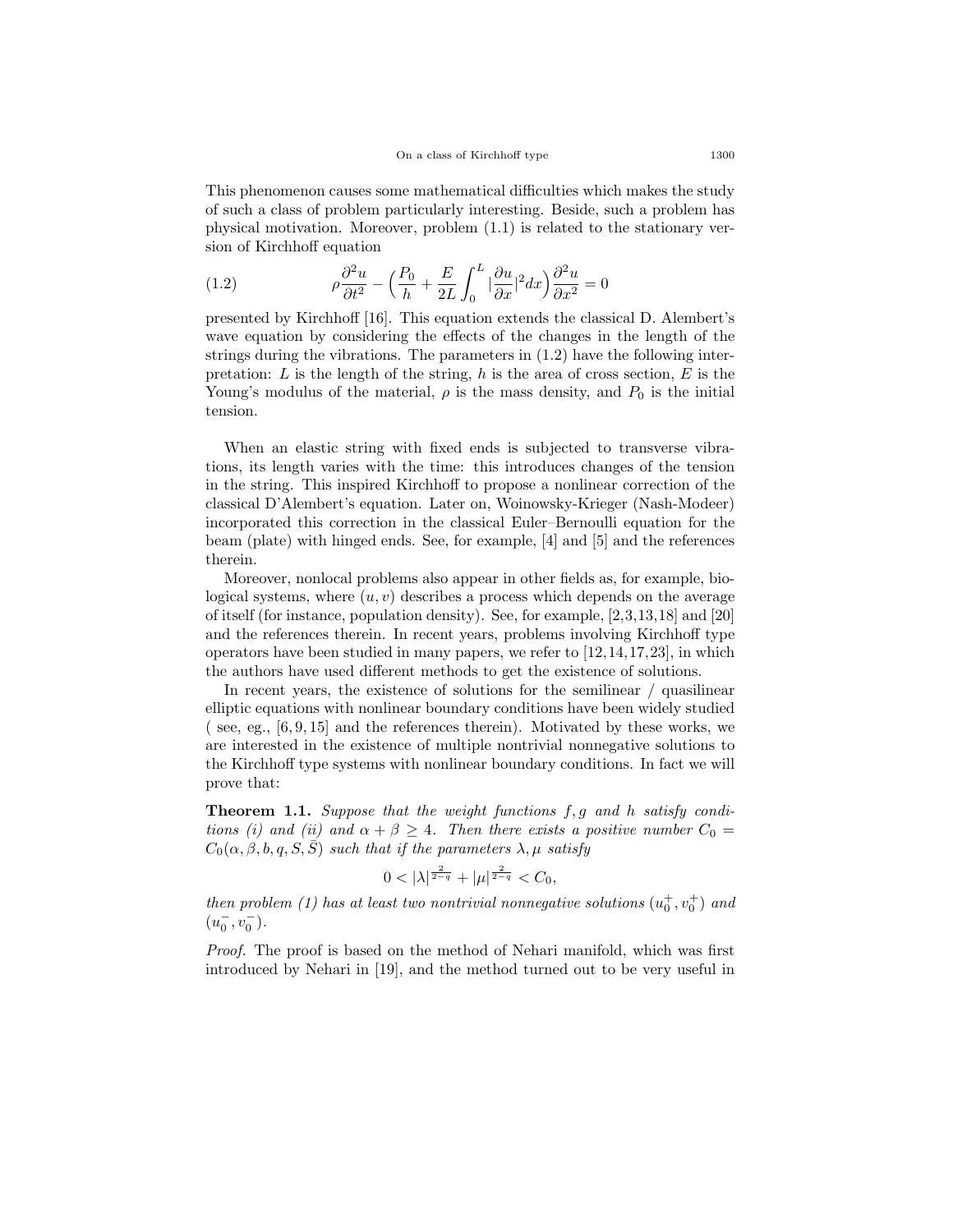This phenomenon causes some mathematical difficulties which makes the study of such a class of problem particularly interesting. Beside, such a problem has physical motivation. Moreover, problem ([1.1](#page-1-0)) is related to the stationary version of Kirchhoff equation

<span id="page-2-0"></span>(1.2) 
$$
\rho \frac{\partial^2 u}{\partial t^2} - \left(\frac{P_0}{h} + \frac{E}{2L} \int_0^L |\frac{\partial u}{\partial x}|^2 dx\right) \frac{\partial^2 u}{\partial x^2} = 0
$$

presented by Kirchhoff [[16\]](#page-14-0). This equation extends the classical D. Alembert's wave equation by considering the effects of the changes in the length of the strings during the vibrations. The parameters in [\(1.2](#page-2-0)) have the following interpretation: *L* is the length of the string, *h* is the area of cross section, *E* is the Young's modulus of the material,  $\rho$  is the mass density, and  $P_0$  is the initial tension.

When an elastic string with fixed ends is subjected to transverse vibrations, its length varies with the time: this introduces changes of the tension in the string. This inspired Kirchhoff to propose a nonlinear correction of the classical D'Alembert's equation. Later on, Woinowsky-Krieger (Nash-Modeer) incorporated this correction in the classical Euler–Bernoulli equation for the beam (plate) with hinged ends. See, for example, [[4\]](#page-14-1) and [\[5](#page-14-2)] and the references therein.

Moreover, nonlocal problems also appear in other fields as, for example, biological systems, where (*u, v*) describes a process which depends on the average of itself (for instance, population density). See, for example, [[2](#page-14-3),[3,](#page-14-4)[13,](#page-14-5)[18](#page-14-6)] and [[20](#page-14-7)] and the references therein. In recent years, problems involving Kirchhoff type operators have been studied in many papers, we refer to [\[12](#page-14-8),[14,](#page-14-9)[17](#page-14-10),[23\]](#page-15-0), in which the authors have used different methods to get the existence of solutions.

In recent years, the existence of solutions for the semilinear / quasilinear elliptic equations with nonlinear boundary conditions have been widely studied ( see, eg., [\[6](#page-14-11), [9,](#page-14-12) [15\]](#page-14-13) and the references therein). Motivated by these works, we are interested in the existence of multiple nontrivial nonnegative solutions to the Kirchhoff type systems with nonlinear boundary conditions. In fact we will prove that:

<span id="page-2-1"></span>**Theorem 1.1.** *Suppose that the weight functions f, g and h satisfy conditions (i) and (ii) and*  $\alpha + \beta \geq 4$ . Then there exists a positive number  $C_0$  $C_0(\alpha, \beta, b, q, S, \overline{S})$  *such that if the parameters*  $\lambda, \mu$  *satisfy* 

$$
0<|\lambda|^{\frac{2}{2-q}}+|\mu|^{\frac{2}{2-q}}
$$

*then problem (1) has at least two nontrivial nonnegative solutions*  $(u_0^+, v_0^+)$  *and*  $(u_0^-, v_0^-)$ .

*Proof.* The proof is based on the method of Nehari manifold, which was first introduced by Nehari in [[19\]](#page-14-14), and the method turned out to be very useful in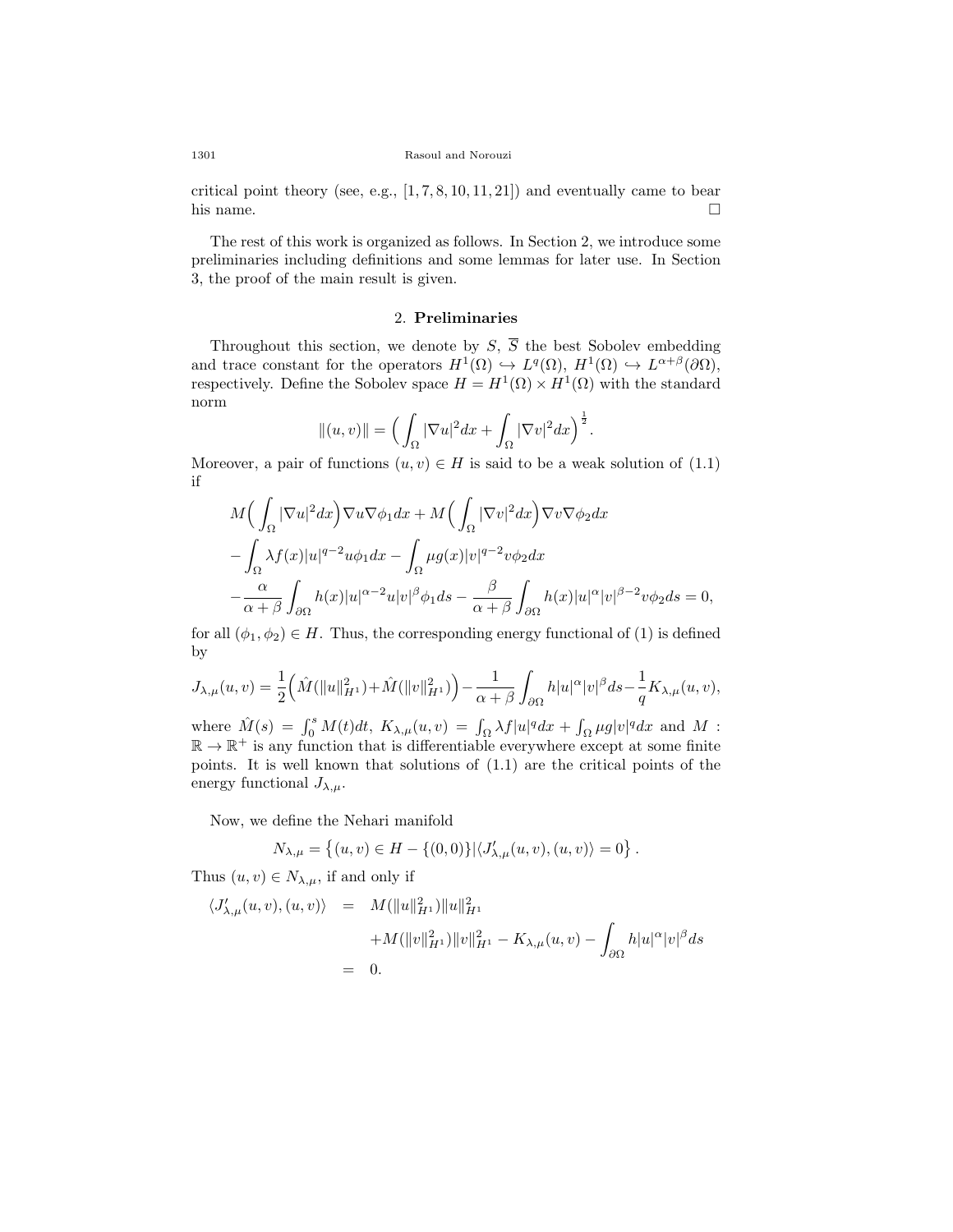critical point theory (see, e.g.,  $[1, 7, 8, 10, 11, 21]$  $[1, 7, 8, 10, 11, 21]$  $[1, 7, 8, 10, 11, 21]$  $[1, 7, 8, 10, 11, 21]$  $[1, 7, 8, 10, 11, 21]$  $[1, 7, 8, 10, 11, 21]$  $[1, 7, 8, 10, 11, 21]$  $[1, 7, 8, 10, 11, 21]$  $[1, 7, 8, 10, 11, 21]$  $[1, 7, 8, 10, 11, 21]$  $[1, 7, 8, 10, 11, 21]$  $[1, 7, 8, 10, 11, 21]$ ) and eventually came to bear his name.  $\Box$ 

The rest of this work is organized as follows. In Section 2, we introduce some preliminaries including definitions and some lemmas for later use. In Section 3, the proof of the main result is given.

## 2. **Preliminaries**

Throughout this section, we denote by  $S$ ,  $\overline{S}$  the best Sobolev embedding and trace constant for the operators  $H^1(\Omega) \hookrightarrow L^q(\Omega)$ ,  $H^1(\Omega) \hookrightarrow L^{\alpha+\beta}(\partial\Omega)$ , respectively. Define the Sobolev space  $H = H^1(\Omega) \times H^1(\Omega)$  with the standard norm

$$
||(u,v)|| = \Big(\int_{\Omega} |\nabla u|^2 dx + \int_{\Omega} |\nabla v|^2 dx\Big)^{\frac{1}{2}}.
$$

Moreover, a pair of functions  $(u, v) \in H$  is said to be a weak solution of  $(1.1)$  $(1.1)$  $(1.1)$ if

$$
\begin{aligned} &M\Big(\int_{\Omega}|\nabla u|^2dx\Big)\nabla u\nabla \phi_1dx+M\Big(\int_{\Omega}|\nabla v|^2dx\Big)\nabla v\nabla \phi_2dx\\ &-\int_{\Omega}\lambda f(x)|u|^{q-2}u\phi_1dx-\int_{\Omega}\mu g(x)|v|^{q-2}v\phi_2dx\\ &-\frac{\alpha}{\alpha+\beta}\int_{\partial\Omega}h(x)|u|^{\alpha-2}u|v|^{\beta}\phi_1ds-\frac{\beta}{\alpha+\beta}\int_{\partial\Omega}h(x)|u|^{\alpha}|v|^{\beta-2}v\phi_2ds=0, \end{aligned}
$$

for all  $(\phi_1, \phi_2) \in H$ . Thus, the corresponding energy functional of (1) is defined by

$$
J_{\lambda,\mu}(u,v)=\frac{1}{2}\Big(\hat{M}(\|u\|_{H^1}^2)+\hat{M}(\|v\|_{H^1}^2)\Big)-\frac{1}{\alpha+\beta}\int_{\partial\Omega}h|u|^\alpha|v|^\beta ds-\frac{1}{q}K_{\lambda,\mu}(u,v),
$$

where  $\hat{M}(s) = \int_0^s M(t)dt$ ,  $K_{\lambda,\mu}(u,v) = \int_{\Omega} \lambda f|u|^q dx + \int_{\Omega} \mu g|v|^q dx$  and M :  $\mathbb{R} \to \mathbb{R}^+$  is any function that is differentiable everywhere except at some finite points. It is well known that solutions of [\(1.1](#page-1-0)) are the critical points of the energy functional  $J_{\lambda,\mu}$ .

Now, we define the Nehari manifold

$$
N_{\lambda,\mu} = \left\{ (u,v) \in H - \left\{ (0,0) \right\} \middle| \langle J'_{\lambda,\mu}(u,v), (u,v) \rangle = 0 \right\}.
$$

Thus  $(u, v) \in N_{\lambda, \mu}$ , if and only if

$$
\langle J'_{\lambda,\mu}(u,v), (u,v) \rangle = M(||u||_{H^1}^2) ||u||_{H^1}^2
$$
  
+
$$
+ M(||v||_{H^1}^2) ||v||_{H^1}^2 - K_{\lambda,\mu}(u,v) - \int_{\partial\Omega} h|u|^\alpha |v|^\beta ds
$$
  
= 0.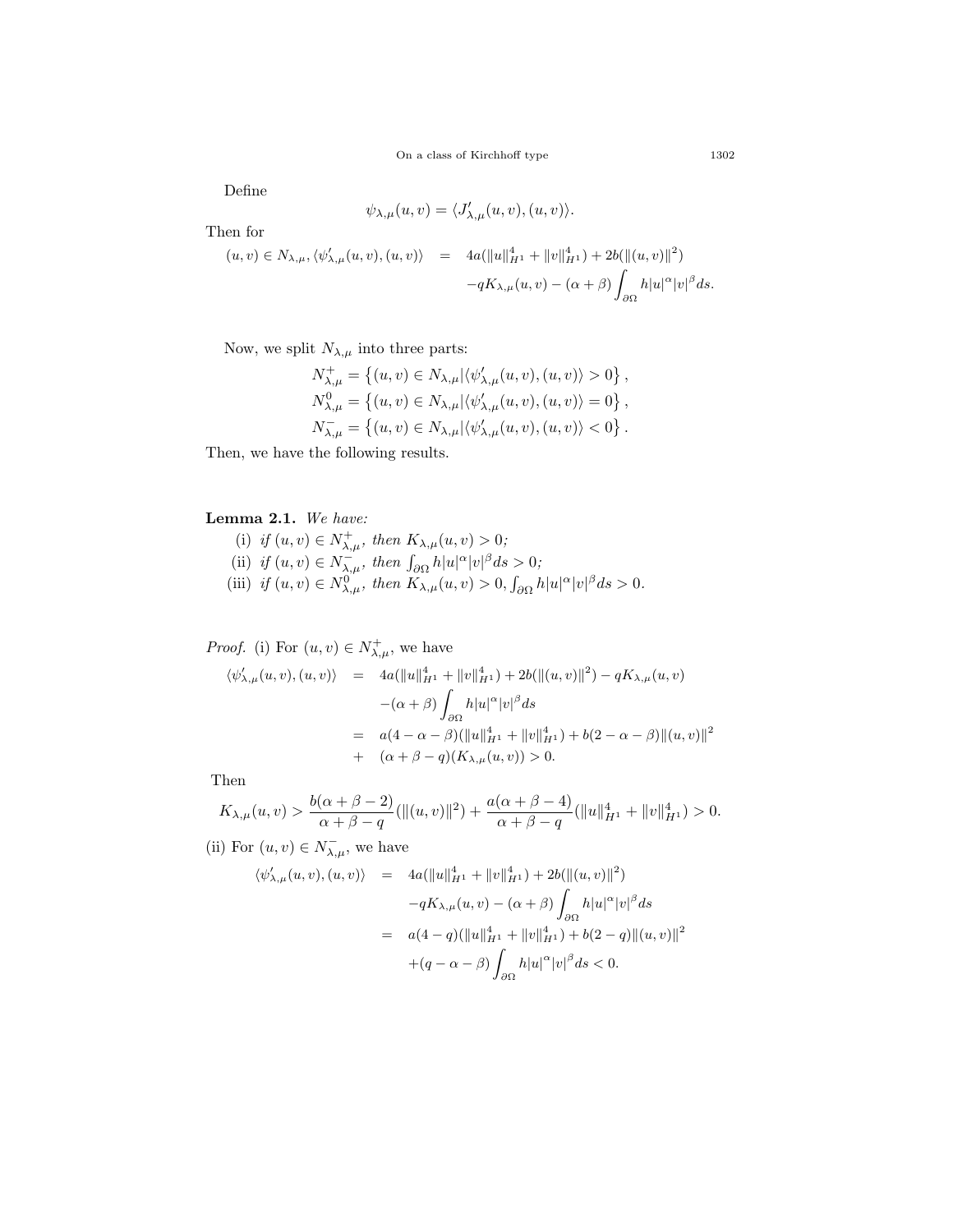Define

$$
\psi_{\lambda,\mu}(u,v) = \langle J'_{\lambda,\mu}(u,v), (u,v) \rangle.
$$

Then for

$$
(u, v) \in N_{\lambda, \mu}, \langle \psi'_{\lambda, \mu}(u, v), (u, v) \rangle = 4a(||u||_{H^1}^4 + ||v||_{H^1}^4) + 2b(||(u, v)||^2) -qK_{\lambda, \mu}(u, v) - (\alpha + \beta) \int_{\partial \Omega} h|u|^{\alpha}|v|^{\beta} ds.
$$

Now, we split  $N_{\lambda,\mu}$  into three parts:

$$
\begin{split} &N_{\lambda,\mu}^+ = \left\{(u,v)\in N_{\lambda,\mu}|\langle \psi_{\lambda,\mu}'(u,v), (u,v)\rangle > 0\right\},\\ &N_{\lambda,\mu}^0 = \left\{(u,v)\in N_{\lambda,\mu}|\langle \psi_{\lambda,\mu}'(u,v), (u,v)\rangle = 0\right\},\\ &N_{\lambda,\mu}^- = \left\{(u,v)\in N_{\lambda,\mu}|\langle \psi_{\lambda,\mu}'(u,v), (u,v)\rangle < 0\right\}. \end{split}
$$

Then, we have the following results.

## <span id="page-4-0"></span>**Lemma 2.1.** *We have:*

(i) *if*  $(u, v) \in N_{\lambda, \mu}^{+}$ , then  $K_{\lambda, \mu}(u, v) > 0$ ; (ii) *if*  $(u, v) \in N_{\lambda, \mu}^{-}$ , then  $\int_{\partial \Omega} h|u|^{\alpha}|v|^{\beta} ds > 0$ ; (iii) if  $(u, v) \in N_{\lambda,\mu}^{0}$ , then  $K_{\lambda,\mu}(u, v) > 0$ ,  $\int_{\partial\Omega} h|u|^{\alpha}|v|^{\beta} ds > 0$ .

*Proof.* (i) For  $(u, v) \in N^+_{\lambda, \mu}$ , we have

$$
\langle \psi'_{\lambda,\mu}(u,v), (u,v) \rangle = 4a(||u||_{H^1}^4 + ||v||_{H^1}^4) + 2b(||(u,v)||^2) - qK_{\lambda,\mu}(u,v)
$$
  

$$
-(\alpha + \beta) \int_{\partial\Omega} h|u|^\alpha |v|^\beta ds
$$
  

$$
= a(4 - \alpha - \beta)(||u||_{H^1}^4 + ||v||_{H^1}^4) + b(2 - \alpha - \beta) ||(u,v)||^2
$$
  

$$
+ (\alpha + \beta - q)(K_{\lambda,\mu}(u,v)) > 0.
$$

Then

$$
K_{\lambda,\mu}(u,v) > \frac{b(\alpha+\beta-2)}{\alpha+\beta-q}(\|(u,v)\|^2) + \frac{a(\alpha+\beta-4)}{\alpha+\beta-q}(\|u\|_{H^1}^4 + \|v\|_{H^1}^4) > 0.
$$

(ii) For  $(u, v) \in N_{\lambda, \mu}^-$ , we have

$$
\langle \psi'_{\lambda,\mu}(u,v), (u,v) \rangle = 4a(||u||_{H^1}^4 + ||v||_{H^1}^4) + 2b(||(u,v)||^2)
$$
  

$$
-qK_{\lambda,\mu}(u,v) - (\alpha + \beta) \int_{\partial\Omega} h|u|^\alpha |v|^\beta ds
$$
  

$$
= a(4-q)(||u||_{H^1}^4 + ||v||_{H^1}^4) + b(2-q)||(u,v)||^2
$$
  

$$
+(q - \alpha - \beta) \int_{\partial\Omega} h|u|^\alpha |v|^\beta ds < 0.
$$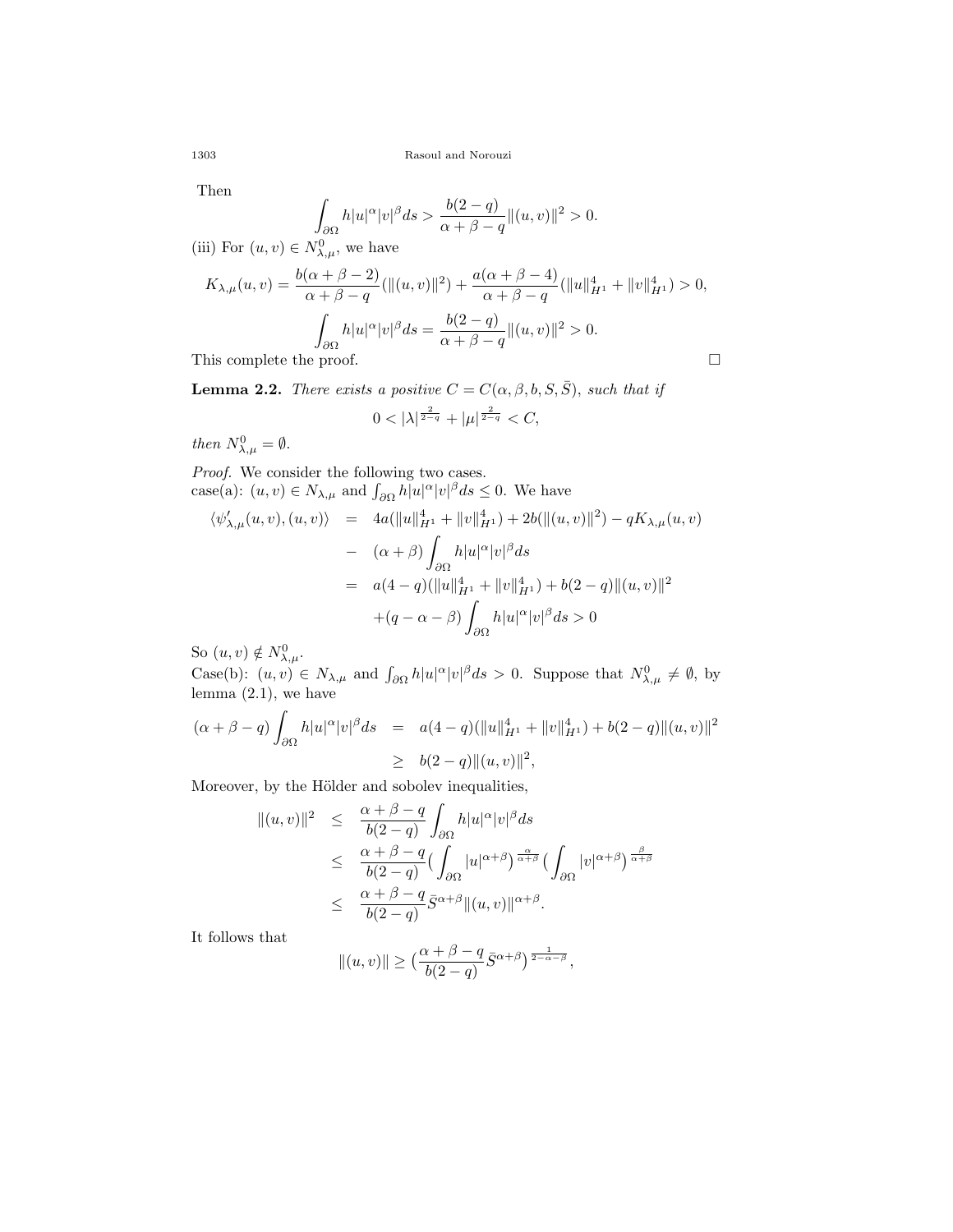Then

$$
\int_{\partial\Omega}h|u|^{\alpha}|v|^{\beta}ds > \frac{b(2-q)}{\alpha+\beta-q}\|(u,v)\|^2 > 0.
$$

(iii) For  $(u, v) \in N_{\lambda,\mu}^0$ , we have

$$
K_{\lambda,\mu}(u,v) = \frac{b(\alpha + \beta - 2)}{\alpha + \beta - q} (\|(u,v)\|^{2}) + \frac{a(\alpha + \beta - 4)}{\alpha + \beta - q} (\|u\|_{H^{1}}^{4} + \|v\|_{H^{1}}^{4}) > 0,
$$
  

$$
\int_{\partial\Omega} h|u|^{\alpha}|v|^{\beta} ds = \frac{b(2 - q)}{\alpha + \beta - q} \|(u,v)\|^{2} > 0.
$$
This complete the proof.

<span id="page-5-0"></span>**Lemma 2.2.** *There exists a positive*  $C = C(\alpha, \beta, b, S, \overline{S})$ *, such that if* 

$$
0 < |\lambda|^{\frac{2}{2-q}} + |\mu|^{\frac{2}{2-q}} < C,
$$

*then*  $N^0_{\lambda,\mu} = \emptyset$ .

*Proof.* We consider the following two cases. case(a):  $(u, v) \in N_{\lambda, \mu}$  and  $\int_{\partial \Omega} h|u|^{\alpha} |v|^{\beta} ds \leq 0$ . We have

$$
\langle \psi'_{\lambda,\mu}(u,v), (u,v) \rangle = 4a(||u||_{H^1}^4 + ||v||_{H^1}^4) + 2b(||(u,v)||^2) - qK_{\lambda,\mu}(u,v)
$$
  

$$
- (\alpha + \beta) \int_{\partial \Omega} h|u|^\alpha |v|^\beta ds
$$
  

$$
= a(4-q)(||u||_{H^1}^4 + ||v||_{H^1}^4) + b(2-q)||(u,v)||^2
$$
  

$$
+ (q - \alpha - \beta) \int_{\partial \Omega} h|u|^\alpha |v|^\beta ds > 0
$$

So  $(u, v) \notin N_{\lambda, \mu}^0$ .

 $\text{Case(b):}$   $(u, v) \in N_{\lambda, \mu}$  and  $\int_{\partial \Omega} h|u|^{\alpha}|v|^{\beta} ds > 0$ . Suppose that  $N_{\lambda, \mu}^0 \neq \emptyset$ , by lemma (2.1), we have

$$
(\alpha + \beta - q) \int_{\partial \Omega} h|u|^{\alpha}|v|^{\beta} ds = a(4-q)(\|u\|_{H^1}^4 + \|v\|_{H^1}^4) + b(2-q)\|(u, v)\|^2
$$
  

$$
\geq b(2-q)\|(u, v)\|^2,
$$

Moreover, by the Hölder and sobolev inequalities,

$$
\begin{array}{rcl} \displaystyle \|(u,v)\|^2 & \displaystyle \leq & \displaystyle \frac{\alpha+\beta-q}{b(2-q)}\int_{\partial\Omega}h|u|^\alpha|v|^\beta ds \\ \\ & \displaystyle \leq & \displaystyle \frac{\alpha+\beta-q}{b(2-q)}\big(\int_{\partial\Omega}|u|^{\alpha+\beta}\big)^{\frac{\alpha}{\alpha+\beta}}\big(\int_{\partial\Omega}|v|^{\alpha+\beta}\big)^{\frac{\beta}{\alpha+\beta}} \\ \\ & \displaystyle \leq & \displaystyle \frac{\alpha+\beta-q}{b(2-q)}\bar{S}^{\alpha+\beta}\|(u,v)\|^{\alpha+\beta}. \end{array}
$$

It follows that

$$
||(u,v)|| \geq \left(\frac{\alpha+\beta-q}{b(2-q)}\bar{S}^{\alpha+\beta}\right)^{\frac{1}{2-\alpha-\beta}},
$$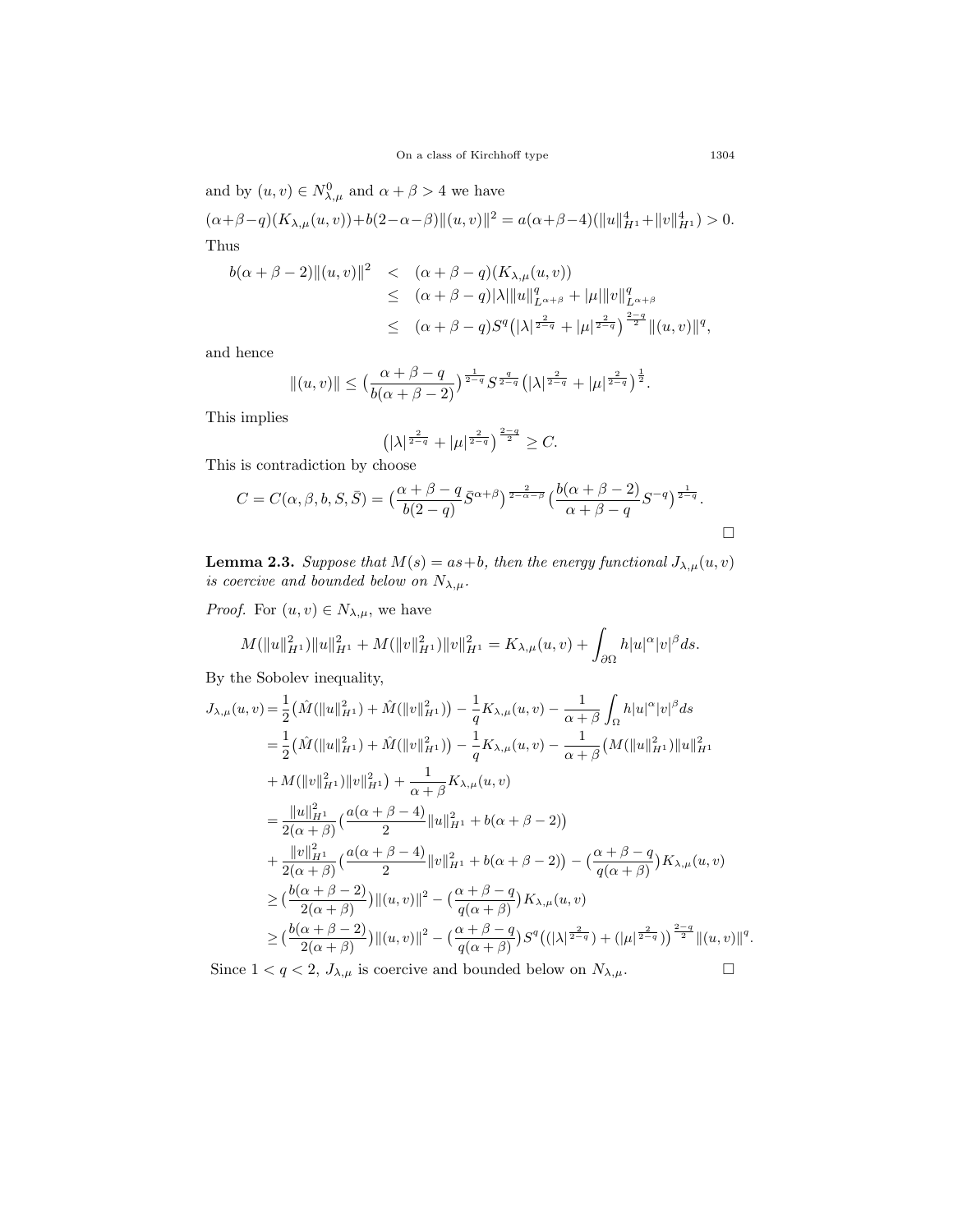and by  $(u, v) \in N_{\lambda, \mu}^0$  and  $\alpha + \beta > 4$  we have

$$
(\alpha+\beta-q)(K_{\lambda,\mu}(u,v))+b(2-\alpha-\beta)\|(u,v)\|^2=a(\alpha+\beta-4)(\|u\|_{H^1}^4+\|v\|_{H^1}^4)>0.
$$
 Thus

$$
b(\alpha + \beta - 2) ||(u, v)||^2 < ( \alpha + \beta - q) (K_{\lambda, \mu}(u, v))
$$
  
\n
$$
\leq (\alpha + \beta - q) |\lambda| ||u||_{L^{\alpha + \beta}}^q + |\mu| ||v||_{L^{\alpha + \beta}}^q
$$
  
\n
$$
\leq (\alpha + \beta - q) S^q (|\lambda|^{\frac{2}{2-q}} + |\mu|^{\frac{2}{2-q}})^{\frac{2-q}{2}} ||(u, v)||^q,
$$

and hence

$$
\|(u,v)\| \le \big(\frac{\alpha+\beta-q}{b(\alpha+\beta-2)}\big)^{\frac{1}{2-q}} S^{\frac{q}{2-q}} \big(|\lambda|^{\frac{2}{2-q}}+|\mu|^{\frac{2}{2-q}}\big)^{\frac{1}{2}}.
$$

This implies

$$
\left(|\lambda|^{\frac{2}{2-q}}+|\mu|^{\frac{2}{2-q}}\right)^{\frac{2-q}{2}}\geq C.
$$

This is contradiction by choose

$$
C = C(\alpha, \beta, b, S, \overline{S}) = \left(\frac{\alpha + \beta - q}{b(2 - q)} \overline{S}^{\alpha + \beta}\right)^{\frac{2}{2 - \alpha - \beta}} \left(\frac{b(\alpha + \beta - 2)}{\alpha + \beta - q} S^{-q}\right)^{\frac{1}{2 - q}}.
$$

<span id="page-6-0"></span>**Lemma 2.3.** *Suppose that*  $M(s) = as +b$ *, then the energy functional*  $J_{\lambda,\mu}(u, v)$ *is coercive and bounded below on*  $N_{\lambda,\mu}$ *.* 

*Proof.* For  $(u, v) \in N_{\lambda, \mu}$ , we have

$$
M(\|u\|_{H^1}^2)\|u\|_{H^1}^2+M(\|v\|_{H^1}^2)\|v\|_{H^1}^2=K_{\lambda,\mu}(u,v)+\int_{\partial\Omega}h|u|^\alpha|v|^\beta ds.
$$

By the Sobolev inequality,

$$
J_{\lambda,\mu}(u,v) = \frac{1}{2} \left( \hat{M}(\|u\|_{H^1}^2) + \hat{M}(\|v\|_{H^1}^2) \right) - \frac{1}{q} K_{\lambda,\mu}(u,v) - \frac{1}{\alpha + \beta} \int_{\Omega} h|u|^{\alpha}|v|^{\beta} ds
$$
  
\n
$$
= \frac{1}{2} \left( \hat{M}(\|u\|_{H^1}^2) + \hat{M}(\|v\|_{H^1}^2) \right) - \frac{1}{q} K_{\lambda,\mu}(u,v) - \frac{1}{\alpha + \beta} \left( M(\|u\|_{H^1}^2) \|u\|_{H^1}^2 \right)
$$
  
\n
$$
+ M(\|v\|_{H^1}^2) \|v\|_{H^1}^2) + \frac{1}{\alpha + \beta} K_{\lambda,\mu}(u,v)
$$
  
\n
$$
= \frac{\|u\|_{H^1}^2}{2(\alpha + \beta)} \left( \frac{a(\alpha + \beta - 4)}{2} \|u\|_{H^1}^2 + b(\alpha + \beta - 2) \right)
$$
  
\n
$$
+ \frac{\|v\|_{H^1}^2}{2(\alpha + \beta)} \left( \frac{a(\alpha + \beta - 4)}{2} \|v\|_{H^1}^2 + b(\alpha + \beta - 2) \right) - \left( \frac{\alpha + \beta - q}{q(\alpha + \beta)} \right) K_{\lambda,\mu}(u,v)
$$
  
\n
$$
\geq \left( \frac{b(\alpha + \beta - 2)}{2(\alpha + \beta)} \right) ||(u,v)||^2 - \left( \frac{\alpha + \beta - q}{q(\alpha + \beta)} \right) K_{\lambda,\mu}(u,v)
$$
  
\n
$$
\geq \left( \frac{b(\alpha + \beta - 2)}{2(\alpha + \beta)} \right) ||(u,v)||^2 - \left( \frac{\alpha + \beta - q}{q(\alpha + \beta)} \right) S^q \left( (|\lambda|^{\frac{2}{2-q}}) + (|\mu|^{\frac{2}{2-q}}) \right)^{\frac{2-q}{2}} ||(u,v)||^2
$$

Since  $1 < q < 2$ ,  $J_{\lambda,\mu}$  is coercive and bounded below on  $N_{\lambda,\mu}$ .

*q .*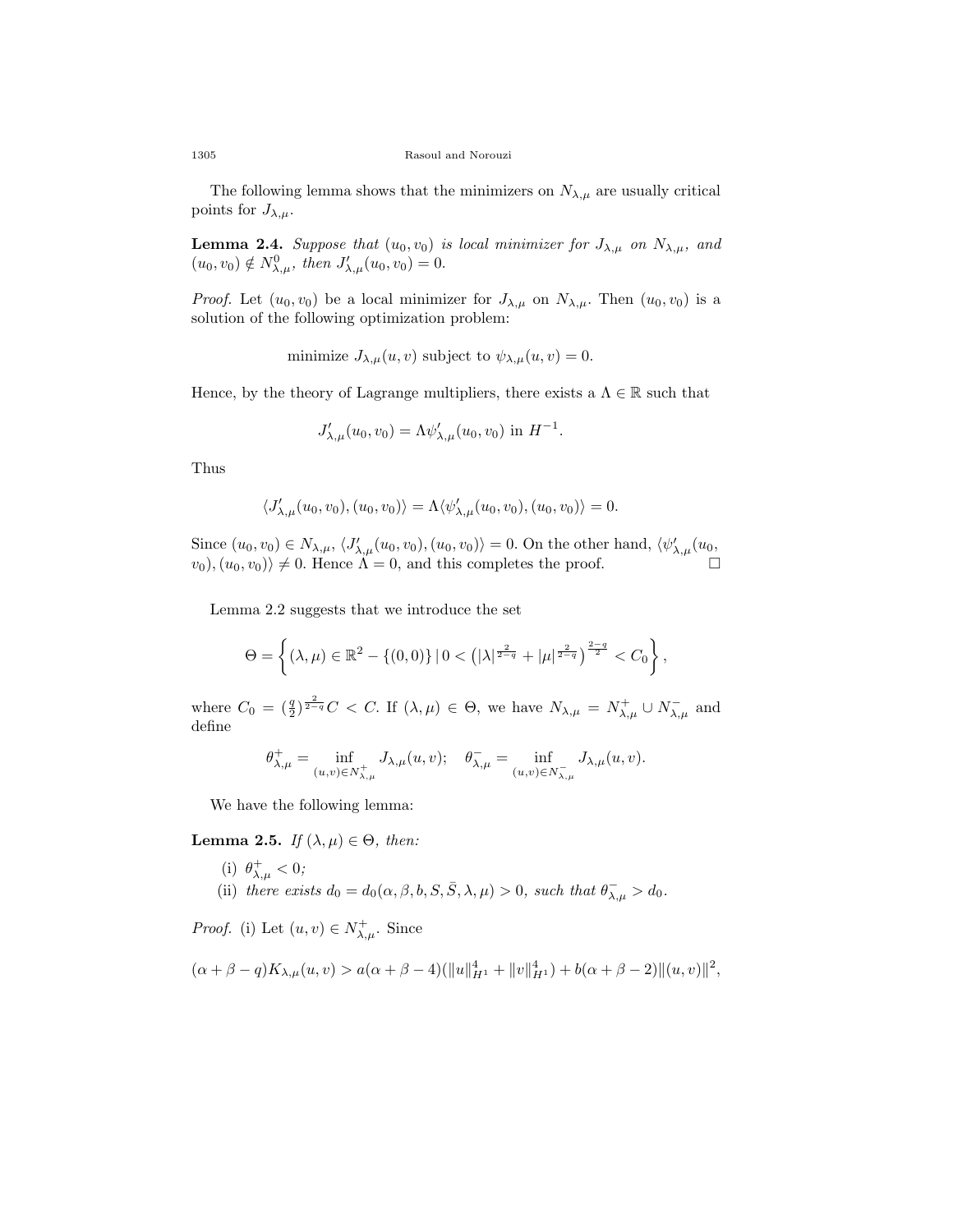The following lemma shows that the minimizers on  $N_{\lambda,\mu}$  are usually critical points for  $J_{\lambda,\mu}$ .

<span id="page-7-0"></span>**Lemma 2.4.** *Suppose that*  $(u_0, v_0)$  *is local minimizer for*  $J_{\lambda,\mu}$  *on*  $N_{\lambda,\mu}$ *, and*  $(u_0, v_0) \notin N_{\lambda,\mu}^0$ , then  $J'_{\lambda,\mu}(u_0, v_0) = 0$ .

*Proof.* Let  $(u_0, v_0)$  be a local minimizer for  $J_{\lambda,\mu}$  on  $N_{\lambda,\mu}$ . Then  $(u_0, v_0)$  is a solution of the following optimization problem:

minimize  $J_{\lambda,\mu}(u, v)$  subject to  $\psi_{\lambda,\mu}(u, v) = 0$ .

Hence, by the theory of Lagrange multipliers, there exists a  $\Lambda \in \mathbb{R}$  such that

*.*

$$
J'_{\lambda,\mu}(u_0, v_0) = \Lambda \psi'_{\lambda,\mu}(u_0, v_0) \text{ in } H^{-1}
$$

Thus

$$
\langle J'_{\lambda,\mu}(u_0,v_0), (u_0,v_0)\rangle = \Lambda \langle \psi'_{\lambda,\mu}(u_0,v_0), (u_0,v_0)\rangle = 0.
$$

Since  $(u_0, v_0) \in N_{\lambda,\mu}$ ,  $\langle J'_{\lambda,\mu}(u_0, v_0), (u_0, v_0) \rangle = 0$ . On the other hand,  $\langle \psi'_{\lambda,\mu}(u_0, \cdot) \rangle$  $\langle v_0 \rangle, (u_0, v_0) \rangle \neq 0$ . Hence  $\Lambda = 0$ , and this completes the proof.

Lemma [2.2](#page-5-0) suggests that we introduce the set

$$
\Theta = \left\{ (\lambda, \mu) \in \mathbb{R}^2 - \left\{ (0, 0) \right\} | 0 < (|\lambda|^{\frac{2}{2-q}} + |\mu|^{\frac{2}{2-q}})^{\frac{2-q}{2}} < C_0 \right\},\
$$

where  $C_0 = (\frac{q}{2})^{\frac{2}{2-q}} C < C$ . If  $(\lambda, \mu) \in \Theta$ , we have  $N_{\lambda,\mu} = N_{\lambda,\mu}^+ \cup N_{\lambda,\mu}^-$  and define

$$
\theta_{\lambda,\mu}^+ = \inf_{(u,v)\in N_{\lambda,\mu}^+} J_{\lambda,\mu}(u,v); \quad \theta_{\lambda,\mu}^- = \inf_{(u,v)\in N_{\lambda,\mu}^-} J_{\lambda,\mu}(u,v).
$$

We have the following lemma:

**Lemma 2.5.** *If*  $(\lambda, \mu) \in \Theta$ *, then:* 

(i)  $\theta_{\lambda,\mu}^{+} < 0$ ; (ii) *there exists*  $d_0 = d_0(\alpha, \beta, b, S, \overline{S}, \lambda, \mu) > 0$ *, such that*  $\theta_{\lambda, \mu} > d_0$ *.* 

*Proof.* (i) Let  $(u, v) \in N^+_{\lambda, \mu}$ . Since

$$
(\alpha + \beta - q)K_{\lambda,\mu}(u,v) > a(\alpha + \beta - 4)(\|u\|_{H^1}^4 + \|v\|_{H^1}^4) + b(\alpha + \beta - 2)\|(u,v)\|^2,
$$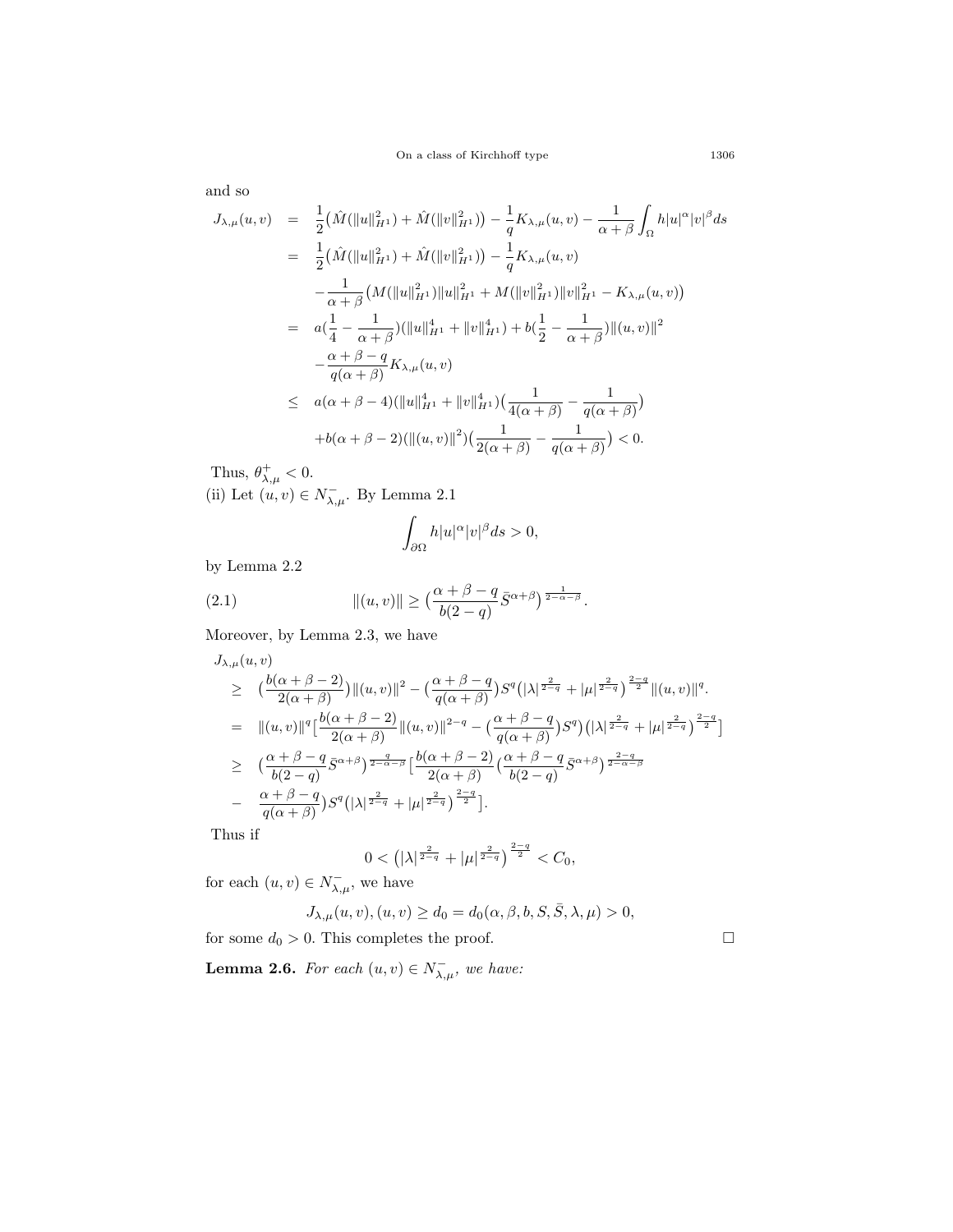and so

$$
J_{\lambda,\mu}(u,v) = \frac{1}{2} (\hat{M}(\|u\|_{H^1}^2) + \hat{M}(\|v\|_{H^1}^2)) - \frac{1}{q} K_{\lambda,\mu}(u,v) - \frac{1}{\alpha + \beta} \int_{\Omega} h|u|^{\alpha}|v|^{\beta} ds
$$
  
\n
$$
= \frac{1}{2} (\hat{M}(\|u\|_{H^1}^2) + \hat{M}(\|v\|_{H^1}^2)) - \frac{1}{q} K_{\lambda,\mu}(u,v)
$$
  
\n
$$
- \frac{1}{\alpha + \beta} (M(\|u\|_{H^1}^2) \|u\|_{H^1}^2 + M(\|v\|_{H^1}^2) \|v\|_{H^1}^2 - K_{\lambda,\mu}(u,v))
$$
  
\n
$$
= a(\frac{1}{4} - \frac{1}{\alpha + \beta}) (\|u\|_{H^1}^4 + \|v\|_{H^1}^4) + b(\frac{1}{2} - \frac{1}{\alpha + \beta}) \| (u,v) \|^2
$$
  
\n
$$
- \frac{\alpha + \beta - q}{q(\alpha + \beta)} K_{\lambda,\mu}(u,v)
$$
  
\n
$$
\leq a(\alpha + \beta - 4) (\|u\|_{H^1}^4 + \|v\|_{H^1}^4) (\frac{1}{4(\alpha + \beta)} - \frac{1}{q(\alpha + \beta)})
$$
  
\n
$$
+b(\alpha + \beta - 2) (\|(u,v)\|^{2}) (\frac{1}{2(\alpha + \beta)} - \frac{1}{q(\alpha + \beta)}) < 0.
$$

Thus,  $\theta_{\lambda,\mu}^+ < 0$ . (ii) Let  $(u, v) \in N_{\lambda, \mu}^-$ . By Lemma [2.1](#page-4-0)

<span id="page-8-1"></span>
$$
\int_{\partial\Omega}h|u|^\alpha|v|^\beta ds>0,
$$

by Lemma [2.2](#page-5-0)

(2.1) 
$$
\|(u,v)\| \ge \left(\frac{\alpha+\beta-q}{b(2-q)}\bar{S}^{\alpha+\beta}\right)^{\frac{1}{2-\alpha-\beta}}.
$$

Moreover, by Lemma [2.3,](#page-6-0) we have

$$
J_{\lambda,\mu}(u,v)
$$
\n
$$
\geq (\frac{b(\alpha+\beta-2)}{2(\alpha+\beta)})\|(u,v)\|^2 - (\frac{\alpha+\beta-q}{q(\alpha+\beta)})S^q(|\lambda|^{\frac{2}{2-q}} + |\mu|^{\frac{2}{2-q}})^{\frac{2-q}{2}}\|(u,v)\|^q.
$$
\n
$$
= \| (u,v)\|^q [\frac{b(\alpha+\beta-2)}{2(\alpha+\beta)}\|(u,v)\|^{2-q} - (\frac{\alpha+\beta-q}{q(\alpha+\beta)})S^q)(|\lambda|^{\frac{2}{2-q}} + |\mu|^{\frac{2}{2-q}})^{\frac{2-q}{2}}]
$$
\n
$$
\geq (\frac{\alpha+\beta-q}{b(2-q)}\bar{S}^{\alpha+\beta})^{\frac{q}{2-\alpha-\beta}} [\frac{b(\alpha+\beta-2)}{2(\alpha+\beta)}(\frac{\alpha+\beta-q}{b(2-q)}\bar{S}^{\alpha+\beta})^{\frac{2-q}{2-\alpha-\beta}}
$$
\n
$$
- \frac{\alpha+\beta-q}{q(\alpha+\beta)})S^q(|\lambda|^{\frac{2}{2-q}} + |\mu|^{\frac{2}{2-q}})^{\frac{2-q}{2}}].
$$

Thus if

$$
0<\left(|\lambda|^{\frac{2}{2-q}}+|\mu|^{\frac{2}{2-q}}\right)^{\frac{2-q}{2}}
$$

for each  $(u, v) \in N_{\lambda, \mu}^-$ , we have

$$
J_{\lambda,\mu}(u,v), (u,v) \ge d_0 = d_0(\alpha,\beta,b,S,\bar{S},\lambda,\mu) > 0,
$$

for some  $d_0 > 0$ . This completes the proof.  $\Box$ 

<span id="page-8-0"></span>**Lemma 2.6.** *For each*  $(u, v) \in N_{\lambda, \mu}^-$ , we have: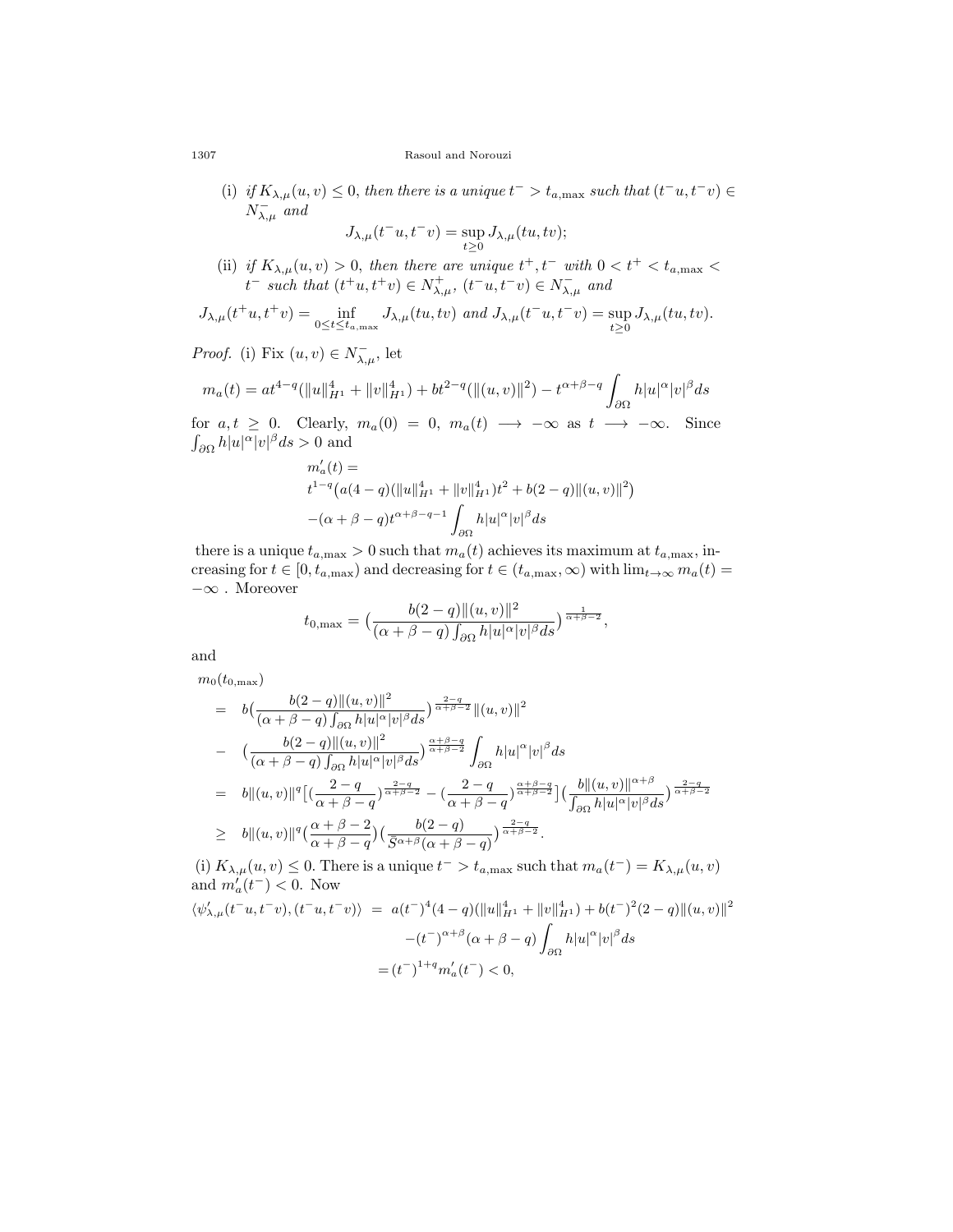#### 1307 Rasoul and Norouzi

(i) *if*  $K_{\lambda,\mu}(u, v) \leq 0$ , then there is a unique  $t^- > t_{a,\text{max}}$  such that  $(t^-u, t^-v) \in$ *N − λ,µ and*

$$
J_{\lambda,\mu}(t^-u,t^-v)=\sup_{t\geq 0}J_{\lambda,\mu}(tu,tv);
$$

(ii) *if*  $K_{\lambda,\mu}(u, v) > 0$ , then there are unique  $t^+, t^-$  with  $0 < t^+ < t_{a,\text{max}} <$  $t^-$  *such that*  $(t^+u, t^+v) \in N^+_{\lambda,\mu}, (t^-u, t^-v) \in N^-_{\lambda,\mu}$  and

$$
J_{\lambda,\mu}(t^+u,t^+v)=\inf_{0\leq t\leq t_{a,\text{max}}}J_{\lambda,\mu}(tu,tv)\ \ and\ J_{\lambda,\mu}(t^-u,t^-v)=\sup_{t\geq 0}J_{\lambda,\mu}(tu,tv).
$$

*Proof.* (i) Fix  $(u, v) \in N_{\lambda, \mu}^-$ , let

$$
m_a(t)=at^{4-q}(\|u\|_{H^1}^4+\|v\|_{H^1}^4)+bt^{2-q}(\|(u,v)\|^2)-t^{\alpha+\beta-q}\int_{\partial\Omega}h|u|^\alpha|v|^\beta ds
$$

for  $a, t \geq 0$ . Clearly,  $m_a(0) = 0$ ,  $m_a(t) \longrightarrow -\infty$  as  $t \longrightarrow -\infty$ . Since  $\int_{\partial\Omega} h|u|^{\alpha}|v|^{\beta} ds > 0$  and

$$
m'_a(t) =
$$
  
\n
$$
t^{1-q} (a(4-q)(\|u\|_{H^1}^4 + \|v\|_{H^1}^4) t^2 + b(2-q) \| (u, v) \|^2)
$$
  
\n
$$
-(\alpha + \beta - q) t^{\alpha + \beta - q - 1} \int_{\partial \Omega} h |u|^\alpha |v|^\beta ds
$$

there is a unique  $t_{a,\text{max}} > 0$  such that  $m_a(t)$  achieves its maximum at  $t_{a,\text{max}}$ , increasing for  $t \in [0, t_{a, max})$  and decreasing for  $t \in (t_{a, max}, \infty)$  with  $\lim_{t \to \infty} m_a(t) =$ *−∞* . Moreover

$$
t_{0,\max} = \left(\frac{b(2-q)\|(u,v)\|^2}{(\alpha+\beta-q)\int_{\partial\Omega}h|u|^\alpha|v|^\beta ds}\right)^{\frac{1}{\alpha+\beta-2}},
$$

and

$$
m_0(t_{0,\max})
$$
\n
$$
= b\left(\frac{b(2-q)\|(u,v)\|^2}{(\alpha+\beta-q)\int_{\partial\Omega}h|u|^{\alpha}|v|^{\beta}ds}\right)^{\frac{2-q}{\alpha+\beta-2}}\|(u,v)\|^2
$$
\n
$$
- \left(\frac{b(2-q)\|(u,v)\|^2}{(\alpha+\beta-q)\int_{\partial\Omega}h|u|^{\alpha}|v|^{\beta}ds}\right)^{\frac{\alpha+\beta-q}{\alpha+\beta-2}}\int_{\partial\Omega}h|u|^{\alpha}|v|^{\beta}ds
$$
\n
$$
= b\|(u,v)\|^q\left[\left(\frac{2-q}{\alpha+\beta-q}\right)^{\frac{2-q}{\alpha+\beta-2}} - \left(\frac{2-q}{\alpha+\beta-q}\right)^{\frac{\alpha+\beta-q}{\alpha+\beta-2}}\right]\left(\frac{b\|(u,v)\|^{\alpha+\beta}}{\int_{\partial\Omega}h|u|^{\alpha}|v|^{\beta}ds}\right)^{\frac{2-q}{\alpha+\beta-2}}
$$
\n
$$
= b\|(u,v)\|^{q} \left[\left(\frac{2-q}{\alpha+\beta-q}\right)^{\frac{2-q}{\alpha+\beta-2}} - \left(\frac{2-q}{\alpha+\beta-q}\right)^{\frac{2-q}{\alpha+\beta-2}}\right]\left(\frac{b\|(u,v)\|^{\alpha+\beta}}{\int_{\partial\Omega}h|u|^{\alpha}|v|^{\beta}ds}\right)^{\frac{2-q}{\alpha+\beta-2}}
$$

$$
\geq b \|(u,v)\|^q \left(\frac{\alpha+\beta-2}{\alpha+\beta-q}\right) \left(\frac{b(2-q)}{\bar{S}^{\alpha+\beta}(\alpha+\beta-q)}\right)^{\frac{2-q}{\alpha+\beta-2}}.
$$

(i)  $K_{\lambda,\mu}(u, v) \leq 0$ . There is a unique  $t^- > t_{a,\text{max}}$  such that  $m_a(t^-) = K_{\lambda,\mu}(u, v)$ and  $m'_a(t^-) < 0$ . Now

$$
\langle \psi'_{\lambda,\mu}(t^-u, t^-v), (t^-u, t^-v) \rangle = a(t^-)^4 (4-q) (\|u\|_{H^1}^4 + \|v\|_{H^1}^4) + b(t^-)^2 (2-q) \| (u, v) \|^2
$$

$$
-(t^-)^{\alpha+\beta} (\alpha+\beta-q) \int_{\partial\Omega} h |u|^\alpha |v|^\beta ds
$$

$$
= (t^-)^{1+q} m'_a(t^-) < 0,
$$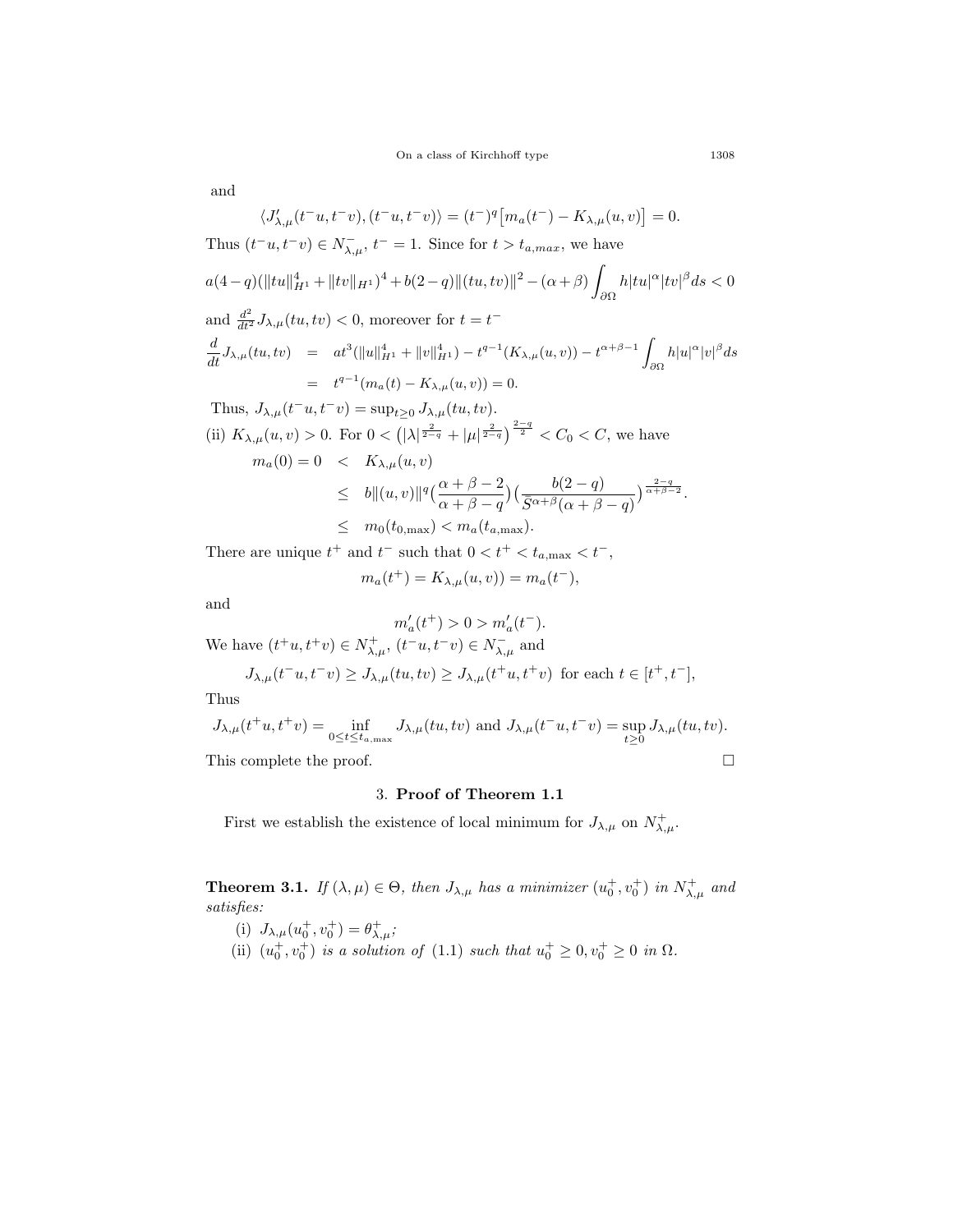and

$$
\langle J'_{\lambda,\mu}(t^-u, t^-v), (t^-u, t^-v) \rangle = (t^-)^q \left[ m_a(t^-) - K_{\lambda,\mu}(u, v) \right] = 0.
$$
  
\nThus  $(t^-u, t^-v) \in N^-_{\lambda,\mu}, t^- = 1$ . Since for  $t > t_{a,max}$ , we have  
\n
$$
a(4-q)(\|tu\|_{H^1}^4 + \|tv\|_{H^1})^4 + b(2-q)\|(tu, tv)\|^2 - (\alpha + \beta) \int_{\partial\Omega} h|tu|^\alpha |tv|^\beta ds < 0
$$
\nand 
$$
\frac{d^2}{dt^2} J_{\lambda,\mu}(tu, tv) < 0
$$
, moreover for  $t = t^-$   
\n
$$
\frac{d}{dt} J_{\lambda,\mu}(tu, tv) = at^3(\|u\|_{H^1}^4 + \|v\|_{H^1}^4) - t^{q-1}(K_{\lambda,\mu}(u, v)) - t^{\alpha+\beta-1} \int_{\partial\Omega} h|u|^\alpha |v|^\beta ds
$$
\n
$$
= t^{q-1}(m_a(t) - K_{\lambda,\mu}(u, v)) = 0.
$$
\nThus,  $J_{\lambda,\mu}(t^-u, t^-v) = \sup_{t\geq 0} J_{\lambda,\mu}(tu, tv).$   
\n(ii)  $K_{\lambda,\mu}(u, v) > 0$ . For  $0 < (|\lambda|^{\frac{2}{2-q}} + |\mu|^{\frac{2}{2-q}})^{\frac{2-q}{2}} < C_0 < C$ , we have  
\n
$$
m_a(0) = 0 < K_{\lambda,\mu}(u, v)
$$
\n
$$
\leq b \|(u, v)\|^{q} \left(\frac{\alpha + \beta - 2}{\alpha + \beta - q}\right) \left(\frac{b(2 - q)}{\overline{S}^{\alpha+\beta}(\alpha + \beta - q)}\right)^{\frac{2-q}{\alpha+\beta-2}}.
$$
\n
$$
\leq m_0(t_{0, \text{max}}) < m_a(t_{a, \text{max}}).
$$

There are unique  $t^+$  and  $t^-$  such that  $0 < t^+ < t_{a,\text{max}} < t^-$ ,

$$
m_a(t^+) = K_{\lambda,\mu}(u,v)) = m_a(t^-),
$$

and

$$
m'_a(t^+) > 0 > m'_a(t^-).
$$

We have  $(t^+u, t^+v) \in N^+_{\lambda,\mu}, (t^-u, t^-v) \in N^-_{\lambda,\mu}$  and

$$
J_{\lambda,\mu}(t^-u,t^-v) \ge J_{\lambda,\mu}(tu,tv) \ge J_{\lambda,\mu}(t^+u,t^+v) \text{ for each } t \in [t^+,t^-],
$$

Thus

$$
J_{\lambda,\mu}(t^+u,t^+v)=\inf_{0\leq t\leq t_{a,\text{max}}}J_{\lambda,\mu}(tu,tv)\text{ and }J_{\lambda,\mu}(t^-u,t^-v)=\sup_{t\geq 0}J_{\lambda,\mu}(tu,tv).
$$

This complete the proof.  $\Box$ 

## 3. **Proof of Theorem 1.1**

First we establish the existence of local minimum for  $J_{\lambda,\mu}$  on  $N^+_{\lambda,\mu}$ .

<span id="page-10-0"></span>**Theorem 3.1.** *If*  $(\lambda, \mu) \in \Theta$ *, then*  $J_{\lambda, \mu}$  *has a minimizer*  $(u_0^+, v_0^+)$  *in*  $N_{\lambda, \mu}^+$  *and satisfies:*

- (i)  $J_{\lambda,\mu}(u_0^+, v_0^+) = \theta_{\lambda,\mu}^+$ ;
- (ii)  $(u_0^+, v_0^+)$  *is a solution of* [\(1.1](#page-1-0)) *such that*  $u_0^+ \geq 0, v_0^+ \geq 0$  *in*  $\Omega$ *.*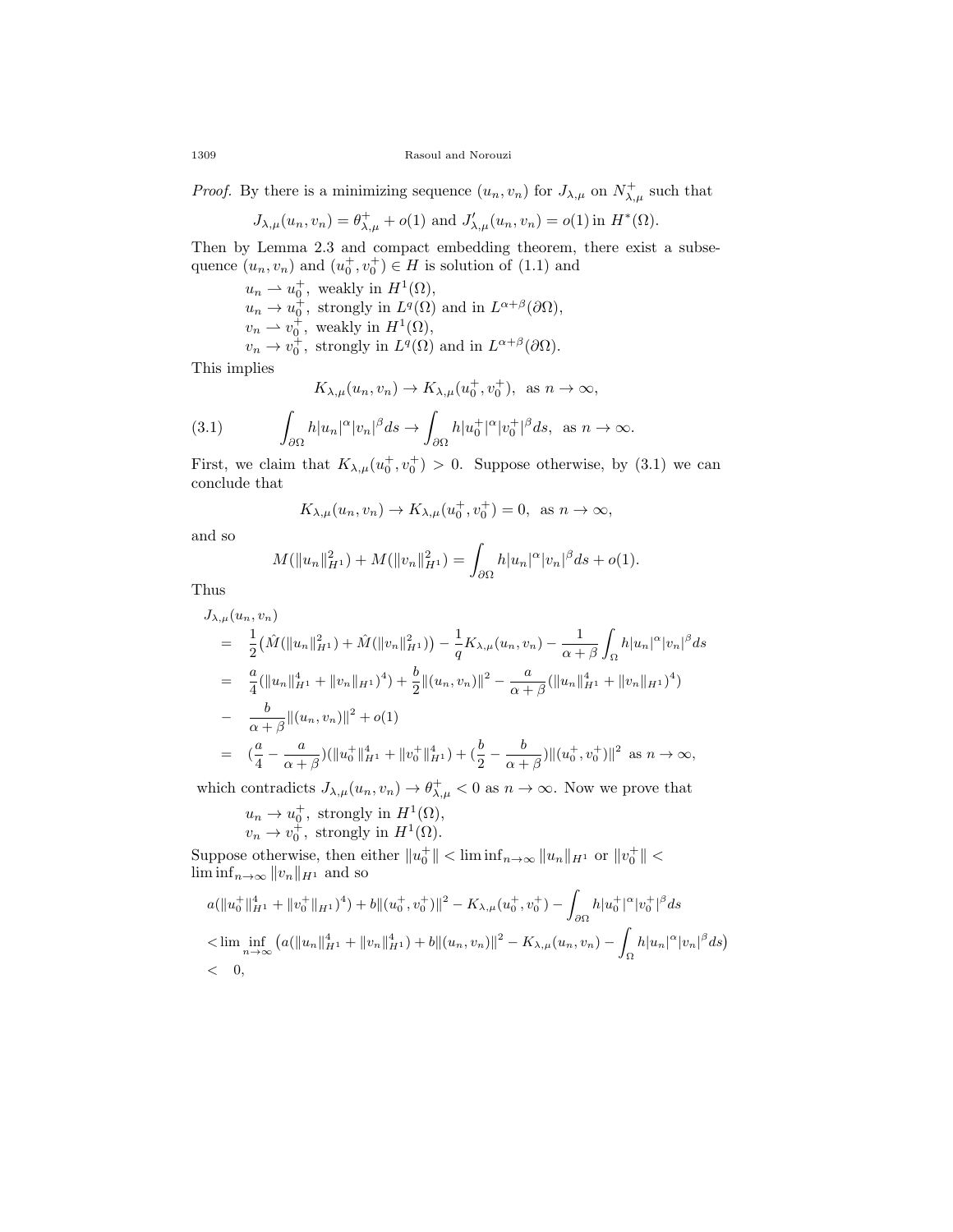1309 Rasoul and Norouzi

*Proof.* By there is a minimizing sequence  $(u_n, v_n)$  for  $J_{\lambda,\mu}$  on  $N^+_{\lambda,\mu}$  such that

$$
J_{\lambda,\mu}(u_n, v_n) = \theta_{\lambda,\mu}^+ + o(1)
$$
 and  $J'_{\lambda,\mu}(u_n, v_n) = o(1)$  in  $H^*(\Omega)$ .

Then by Lemma [2.3](#page-6-0) and compact embedding theorem, there exist a subsequence  $(u_n, v_n)$  and  $(u_0^+, v_0^+) \in H$  is solution of  $(1.1)$  $(1.1)$  and

$$
u_n \rightharpoonup u_0^+
$$
, weakly in  $H^1(\Omega)$ ,  
\n $u_n \rightharpoonup u_0^+$ , strongly in  $L^q(\Omega)$  and in  $L^{\alpha+\beta}(\partial\Omega)$ ,  
\n $v_n \rightharpoonup v_0^+$ , weakly in  $H^1(\Omega)$ ,  
\n $v_n \rightharpoonup v_0^+$ , strongly in  $L^q(\Omega)$  and in  $L^{\alpha+\beta}(\partial\Omega)$ .

This implies

<span id="page-11-0"></span>
$$
K_{\lambda,\mu}(u_n, v_n) \to K_{\lambda,\mu}(u_0^+, v_0^+), \text{ as } n \to \infty,
$$

(3.1) 
$$
\int_{\partial\Omega} h|u_n|^{\alpha}|v_n|^{\beta} ds \to \int_{\partial\Omega} h|u_0^+|^{\alpha}|v_0^+|^{\beta} ds, \text{ as } n \to \infty.
$$

First, we claim that  $K_{\lambda,\mu}(u_0^+, v_0^+) > 0$ . Suppose otherwise, by ([3.1\)](#page-11-0) we can conclude that

$$
K_{\lambda,\mu}(u_n, v_n) \to K_{\lambda,\mu}(u_0^+, v_0^+) = 0
$$
, as  $n \to \infty$ ,

and so

$$
M(||u_n||_{H^1}^2) + M(||v_n||_{H^1}^2) = \int_{\partial\Omega} h|u_n|^\alpha |v_n|^\beta ds + o(1).
$$

Thus

$$
J_{\lambda,\mu}(u_n, v_n)
$$
  
\n
$$
= \frac{1}{2} (\hat{M}(\|u_n\|_{H^1}^2) + \hat{M}(\|v_n\|_{H^1}^2)) - \frac{1}{q} K_{\lambda,\mu}(u_n, v_n) - \frac{1}{\alpha + \beta} \int_{\Omega} h|u_n|^{\alpha} |v_n|^{\beta} ds
$$
  
\n
$$
= \frac{a}{4} (\|u_n\|_{H^1}^4 + \|v_n\|_{H^1})^4) + \frac{b}{2} \|(u_n, v_n)\|^2 - \frac{a}{\alpha + \beta} (\|u_n\|_{H^1}^4 + \|v_n\|_{H^1})^4)
$$
  
\n
$$
- \frac{b}{\alpha + \beta} \|(u_n, v_n)\|^2 + o(1)
$$
  
\n
$$
= (\frac{a}{4} - \frac{a}{\alpha + \beta}) (\|u_0^+\|_{H^1}^4 + \|v_0^+\|_{H^1}^4) + (\frac{b}{2} - \frac{b}{\alpha + \beta}) \|(u_0^+, v_0^+)\|^2 \text{ as } n \to \infty,
$$

which contradicts  $J_{\lambda,\mu}(u_n, v_n) \to \theta_{\lambda,\mu}^+ < 0$  as  $n \to \infty$ . Now we prove that

$$
u_n \to u_0^+
$$
, strongly in  $H^1(\Omega)$ ,  
 $v_n \to v_0^+$ , strongly in  $H^1(\Omega)$ .

 $\text{Suppose otherwise, then either } ||u_0^+|| < \text{lim inf}_{n \to \infty} ||u_n||_{H^1} \text{ or } ||v_0^+|| <$  $\liminf_{n\to\infty}$   $||v_n||_{H^1}$  and so

$$
a(||u_0^+||_{H^1}^4 + ||v_0^+||_{H^1})^4) + b||(u_0^+, v_0^+)||^2 - K_{\lambda,\mu}(u_0^+, v_0^+) - \int_{\partial\Omega} h|u_0^+|^{\alpha} |v_0^+|^{\beta} ds
$$
  

$$
< \liminf_{n \to \infty} (a(||u_n||_{H^1}^4 + ||v_n||_{H^1}^4) + b||(u_n, v_n)||^2 - K_{\lambda,\mu}(u_n, v_n) - \int_{\Omega} h|u_n|^{\alpha} |v_n|^{\beta} ds)
$$
  

$$
< 0,
$$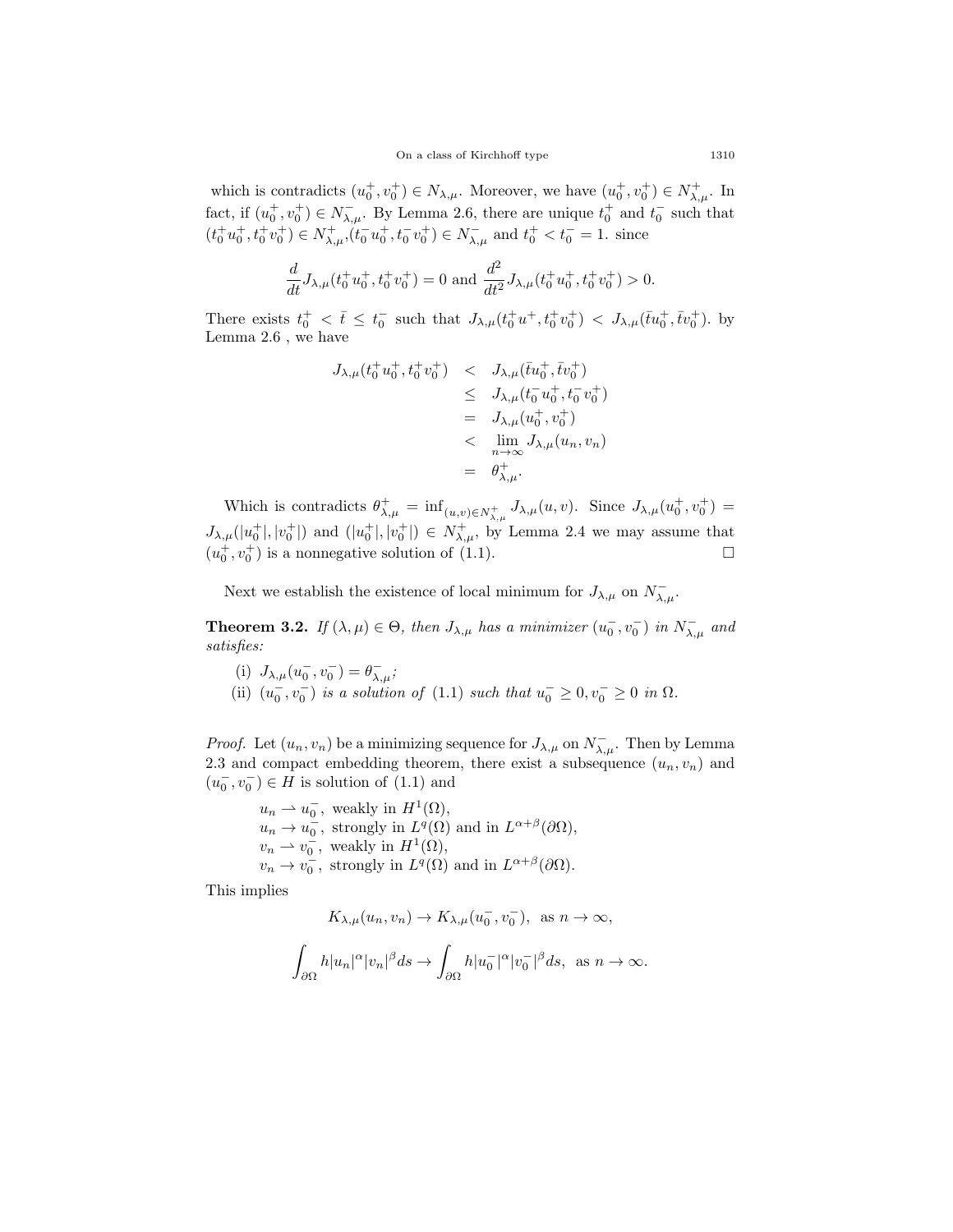which is contradicts  $(u_0^+, v_0^+) \in N_{\lambda,\mu}$ . Moreover, we have  $(u_0^+, v_0^+) \in N_{\lambda,\mu}^+$ . In fact, if  $(u_0^+, v_0^+) \in N_{\lambda,\mu}^-$ . By Lemma [2.6](#page-8-0), there are unique  $t_0^+$  and  $t_0^-$  such that  $(t_0^+ u_0^+, t_0^+ v_0^+) \in N_{\lambda,\mu}^+, (t_0^- u_0^+, t_0^- v_0^+) \in N_{\lambda,\mu}^-$  and  $t_0^+ < t_0^- = 1$ . since

$$
\frac{d}{dt}J_{\lambda,\mu}(t_0^+u_0^+,t_0^+v_0^+) = 0 \text{ and } \frac{d^2}{dt^2}J_{\lambda,\mu}(t_0^+u_0^+,t_0^+v_0^+) > 0.
$$

There exists  $t_0^+ < \bar{t} \leq t_0^-$  such that  $J_{\lambda,\mu}(t_0^+ u^+, t_0^+ v_0^+) < J_{\lambda,\mu}(\bar{t} u_0^+, \bar{t} v_0^+)$ . by Lemma [2.6](#page-8-0) , we have

$$
J_{\lambda,\mu}(t_0^+ u_0^+, t_0^+ v_0^+) \leq J_{\lambda,\mu}(\bar{t}u_0^+, \bar{t}v_0^+) \leq J_{\lambda,\mu}(t_0^- u_0^+, t_0^- v_0^+) = J_{\lambda,\mu}(u_0^+, v_0^+) < \lim_{n \to \infty} J_{\lambda,\mu}(u_n, v_n) = \theta_{\lambda,\mu}^+.
$$

Which is contradicts  $\theta_{\lambda,\mu}^+ = \inf_{(u,v)\in N_{\lambda,\mu}^+} J_{\lambda,\mu}(u,v)$ . Since  $J_{\lambda,\mu}(u_0^+, v_0^+) =$  $J_{\lambda,\mu}(|u_0^+|,|v_0^+|)$  and  $(|u_0^+|,|v_0^+|) \in N_{\lambda,\mu}^+$ , by Lemma [2.4](#page-7-0) we may assume that  $(u_0^+, v_0^+)$  is a nonnegative solution of ([1.1\)](#page-1-0).

Next we establish the existence of local minimum for  $J_{\lambda,\mu}$  on  $N_{\lambda,\mu}^-$ .

<span id="page-12-0"></span>**Theorem 3.2.** *If*  $(\lambda, \mu) \in \Theta$ *, then*  $J_{\lambda, \mu}$  *has a minimizer*  $(u_0^-, v_0^-)$  *in*  $N_{\lambda, \mu}^-$  *and satisfies:*

- (i)  $J_{\lambda,\mu}(u_0^-, v_0^-) = \theta_{\lambda,\mu}^-;$
- (ii)  $(u_0^-, v_0^-)$  *is a solution of* ([1.1](#page-1-0)) *such that*  $u_0^- \ge 0, v_0^- \ge 0$  *in*  $\Omega$ *.*

*Proof.* Let  $(u_n, v_n)$  be a minimizing sequence for  $J_{\lambda,\mu}$  on  $N_{\lambda,\mu}^-$ . Then by Lemma [2.3](#page-6-0) and compact embedding theorem, there exist a subsequence  $(u_n, v_n)$  and  $(u_0^-, v_0^-) \in H$  is solution of  $(1.1)$  $(1.1)$  and

$$
u_n \rightharpoonup u_0^-
$$
, weakly in  $H^1(\Omega)$ ,  
\n $u_n \rightharpoonup u_0^-$ , strongly in  $L^q(\Omega)$  and in  $L^{\alpha+\beta}(\partial\Omega)$ ,  
\n $v_n \rightharpoonup v_0^-$ , weakly in  $H^1(\Omega)$ ,  
\n $v_n \rightharpoonup v_0^-$ , strongly in  $L^q(\Omega)$  and in  $L^{\alpha+\beta}(\partial\Omega)$ .

This implies

$$
K_{\lambda,\mu}(u_n, v_n) \to K_{\lambda,\mu}(u_0^-, v_0^-)
$$
, as  $n \to \infty$ ,

$$
\int_{\partial\Omega}h|u_n|^\alpha|v_n|^\beta ds\to \int_{\partial\Omega}h|u_0^-|^\alpha|v_0^-|^\beta ds, \ \ \text{as} \ n\to\infty.
$$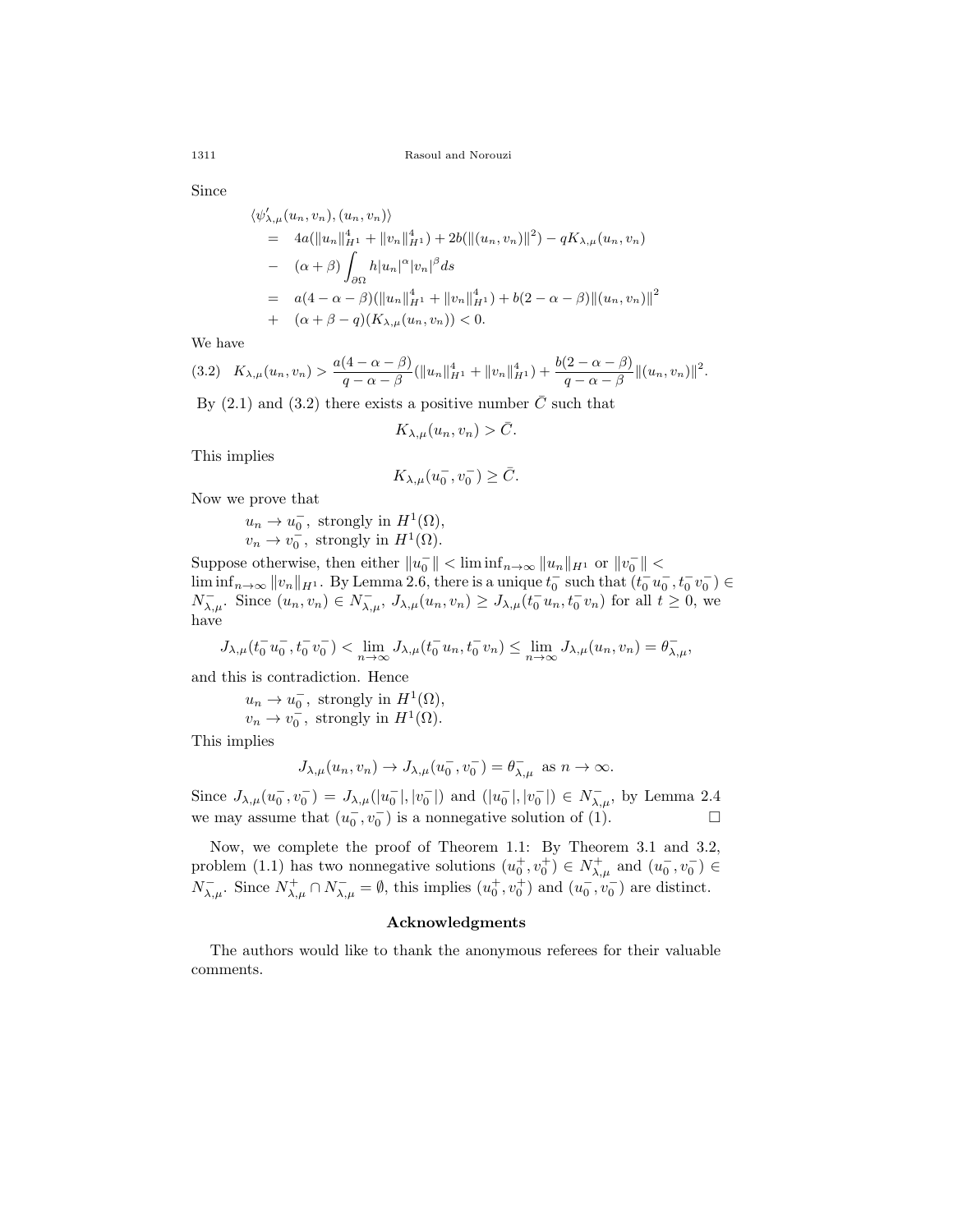Since

$$
\langle \psi'_{\lambda,\mu}(u_n, v_n), (u_n, v_n) \rangle
$$
  
=  $4a(||u_n||_{H^1}^4 + ||v_n||_{H^1}^4) + 2b(||(u_n, v_n)||^2) - qK_{\lambda,\mu}(u_n, v_n)$   
-  $(\alpha + \beta) \int_{\partial\Omega} h |u_n|^{\alpha} |v_n|^{\beta} ds$   
=  $a(4 - \alpha - \beta)(||u_n||_{H^1}^4 + ||v_n||_{H^1}^4) + b(2 - \alpha - \beta) ||(u_n, v_n)||^2$   
+  $(\alpha + \beta - q)(K_{\lambda,\mu}(u_n, v_n)) < 0.$ 

We have

<span id="page-13-0"></span>
$$
(3.2) \quad K_{\lambda,\mu}(u_n,v_n) > \frac{a(4-\alpha-\beta)}{q-\alpha-\beta}(\|u_n\|_{H^1}^4 + \|v_n\|_{H^1}^4) + \frac{b(2-\alpha-\beta)}{q-\alpha-\beta}\|(u_n,v_n)\|^2.
$$

By  $(2.1)$  $(2.1)$  and  $(3.2)$  there exists a positive number  $C$  such that

$$
K_{\lambda,\mu}(u_n,v_n) > \bar{C}.
$$

This implies

$$
K_{\lambda,\mu}(u_0^-,v_0^-)\geq \bar{C}.
$$

Now we prove that

 $u_n \to u_0^-$ , strongly in  $H^1(\Omega)$ ,  $v_n \to v_0^-$ , strongly in  $H^1(\Omega)$ .

Suppose otherwise, then either  $||u_0|| < \liminf_{n \to \infty} ||u_n||_{H^1}$  or  $||v_0|| <$  $\liminf_{n\to\infty} ||v_n||_{H^1}$ . By Lemma [2.6,](#page-8-0) there is a unique  $t_0^-$  such that  $(t_0^- u_0^-, t_0^- v_0^-) \in$  $N_{\lambda,\mu}^-$ . Since  $(u_n, v_n) \in N_{\lambda,\mu}^-, J_{\lambda,\mu}(u_n, v_n) \geq J_{\lambda,\mu}(t_0^{\top}u_n, t_0^{\top}v_n)$  for all  $t \geq 0$ , we have

$$
J_{\lambda,\mu}(t_0^- u_0^-, t_0^- v_0^-) < \lim_{n \to \infty} J_{\lambda,\mu}(t_0^- u_n, t_0^- v_n) \le \lim_{n \to \infty} J_{\lambda,\mu}(u_n, v_n) = \theta_{\lambda,\mu}^-,
$$

and this is contradiction. Hence

$$
u_n \to u_0^-
$$
, strongly in  $H^1(\Omega)$ ,  
 $v_n \to v_0^-$ , strongly in  $H^1(\Omega)$ .

This implies

$$
J_{\lambda,\mu}(u_n, v_n) \to J_{\lambda,\mu}(u_0^-, v_0^-) = \theta_{\lambda,\mu}^-\text{ as } n \to \infty.
$$

Since  $J_{\lambda,\mu}(u_0^-,v_0^-) = J_{\lambda,\mu}(|u_0^-|,|v_0^-|)$  and  $(|u_0^-|,|v_0^-|) \in N_{\lambda,\mu}^-$ , by Lemma 2.4 we may assume that  $(u_0^-, v_0^-)$  is a nonnegative solution of (1). □

Now, we complete the proof of Theorem [1.1:](#page-2-1) By Theorem [3.1](#page-10-0) and [3.2](#page-12-0), problem [\(1.1\)](#page-1-0) has two nonnegative solutions  $(u_0^+, v_0^+) \in N_{\lambda,\mu}^+$  and  $(u_0^-, v_0^-) \in$  $N^{-}_{\lambda,\mu}$ . Since  $N^{+}_{\lambda,\mu} \cap N^{-}_{\lambda,\mu} = \emptyset$ , this implies  $(u_0^+, v_0^+)$  and  $(u_0^-, v_0^-)$  are distinct.

## **Acknowledgments**

The authors would like to thank the anonymous referees for their valuable comments.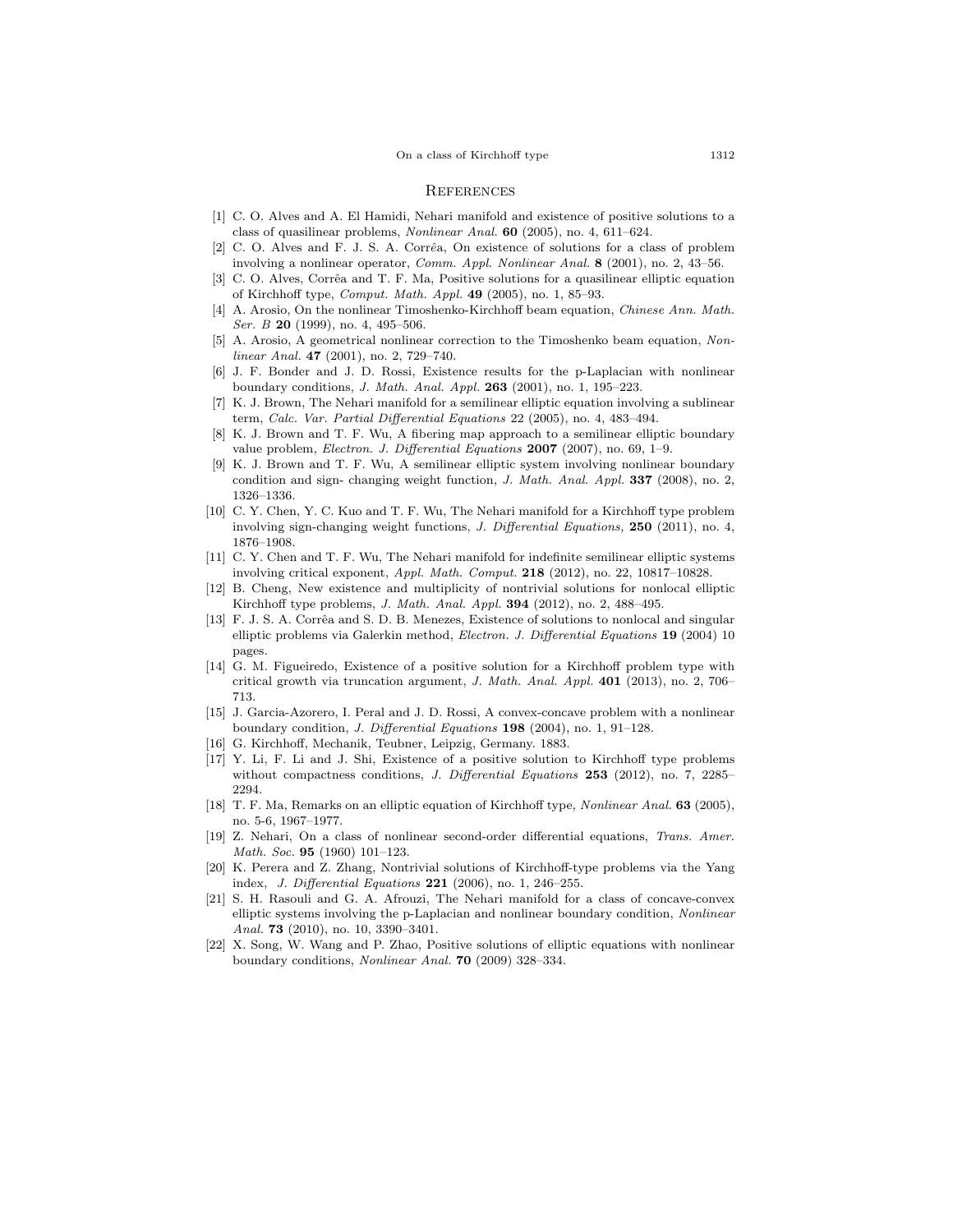#### On a class of Kirchhoff type 1312

#### **REFERENCES**

- <span id="page-14-15"></span>[1] C. O. Alves and A. El Hamidi, Nehari manifold and existence of positive solutions to a class of quasilinear problems, *Nonlinear Anal.* **60** (2005), no. 4, 611–624.
- <span id="page-14-3"></span>[2] C. O. Alves and F. J. S. A. Corrêa, On existence of solutions for a class of problem involving a nonlinear operator, *Comm. Appl. Nonlinear Anal.* **8** (2001), no. 2, 43–56.
- <span id="page-14-4"></span>[3] C. O. Alves, Corrêa and T. F. Ma, Positive solutions for a quasilinear elliptic equation of Kirchhoff type, *Comput. Math. Appl.* **49** (2005), no. 1, 85–93.
- <span id="page-14-1"></span>[4] A. Arosio, On the nonlinear Timoshenko-Kirchhoff beam equation, *Chinese Ann. Math. Ser. B* **20** (1999), no. 4, 495–506.
- <span id="page-14-2"></span>[5] A. Arosio, A geometrical nonlinear correction to the Timoshenko beam equation, *Nonlinear Anal.* **47** (2001), no. 2, 729–740.
- <span id="page-14-11"></span>[6] J. F. Bonder and J. D. Rossi, Existence results for the p-Laplacian with nonlinear boundary conditions, *J. Math. Anal. Appl.* **263** (2001), no. 1, 195–223.
- <span id="page-14-16"></span>[7] K. J. Brown, The Nehari manifold for a semilinear elliptic equation involving a sublinear term, *Calc. Var. Partial Differential Equations* 22 (2005), no. 4, 483–494.
- <span id="page-14-17"></span>[8] K. J. Brown and T. F. Wu, A fibering map approach to a semilinear elliptic boundary value problem, *Electron. J. Differential Equations* **2007** (2007), no. 69, 1–9.
- <span id="page-14-12"></span>[9] K. J. Brown and T. F. Wu, A semilinear elliptic system involving nonlinear boundary condition and sign- changing weight function, *J. Math. Anal. Appl.* **337** (2008), no. 2, 1326–1336.
- <span id="page-14-18"></span>[10] C. Y. Chen, Y. C. Kuo and T. F. Wu, The Nehari manifold for a Kirchhoff type problem involving sign-changing weight functions, *J. Differential Equations,* **250** (2011), no. 4, 1876–1908.
- <span id="page-14-19"></span>[11] C. Y. Chen and T. F. Wu, The Nehari manifold for indefinite semilinear elliptic systems involving critical exponent, *Appl. Math. Comput.* **218** (2012), no. 22, 10817–10828.
- <span id="page-14-8"></span>[12] B. Cheng, New existence and multiplicity of nontrivial solutions for nonlocal elliptic Kirchhoff type problems, *J. Math. Anal. Appl.* **394** (2012), no. 2, 488–495.
- <span id="page-14-5"></span>[13] F. J. S. A. Corrêa and S. D. B. Menezes, Existence of solutions to nonlocal and singular elliptic problems via Galerkin method, *Electron. J. Differential Equations* **19** (2004) 10 pages.
- <span id="page-14-9"></span>[14] G. M. Figueiredo, Existence of a positive solution for a Kirchhoff problem type with critical growth via truncation argument, *J. Math. Anal. Appl.* **401** (2013), no. 2, 706– 713.
- <span id="page-14-13"></span>[15] J. Garcia-Azorero, I. Peral and J. D. Rossi, A convex-concave problem with a nonlinear boundary condition, *J. Differential Equations* **198** (2004), no. 1, 91–128.
- <span id="page-14-0"></span>[16] G. Kirchhoff, Mechanik, Teubner, Leipzig, Germany. 1883.
- <span id="page-14-10"></span>[17] Y. Li, F. Li and J. Shi, Existence of a positive solution to Kirchhoff type problems without compactness conditions, *J. Differential Equations* **253** (2012), no. 7, 2285– 2294.
- <span id="page-14-6"></span>[18] T. F. Ma, Remarks on an elliptic equation of Kirchhoff type, *Nonlinear Anal.* **63** (2005), no. 5-6, 1967–1977.
- <span id="page-14-14"></span>[19] Z. Nehari, On a class of nonlinear second-order differential equations, *Trans. Amer. Math. Soc.* **95** (1960) 101–123.
- <span id="page-14-7"></span>[20] K. Perera and Z. Zhang, Nontrivial solutions of Kirchhoff-type problems via the Yang index, *J. Differential Equations* **221** (2006), no. 1, 246–255.
- <span id="page-14-20"></span>[21] S. H. Rasouli and G. A. Afrouzi, The Nehari manifold for a class of concave-convex elliptic systems involving the p-Laplacian and nonlinear boundary condition, *Nonlinear Anal.* **73** (2010), no. 10, 3390–3401.
- [22] X. Song, W. Wang and P. Zhao, Positive solutions of elliptic equations with nonlinear boundary conditions, *Nonlinear Anal.* **70** (2009) 328–334.